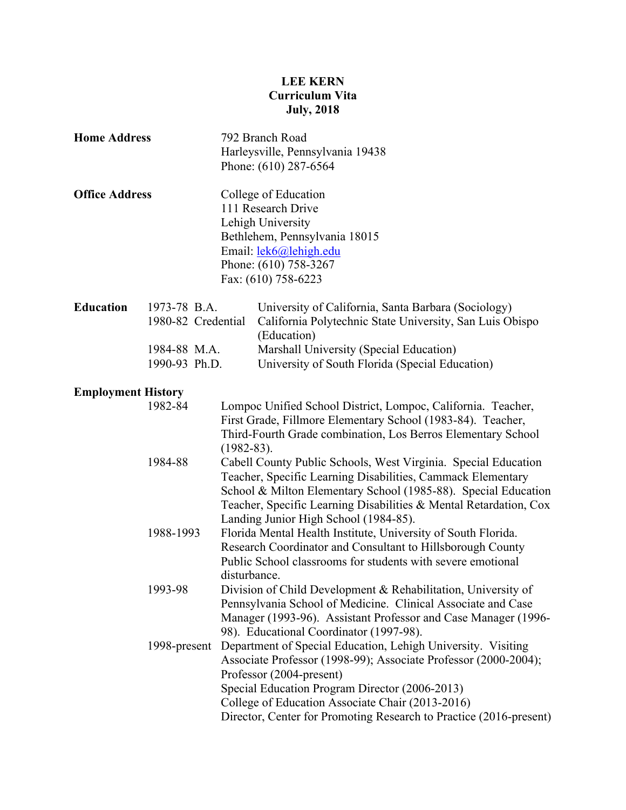# **LEE KERN Curriculum Vita July, 2018**

| <b>Home Address</b><br><b>Office Address</b> |                                    |  | 792 Branch Road<br>Harleysville, Pennsylvania 19438<br>Phone: (610) 287-6564<br>College of Education<br>111 Research Drive<br>Lehigh University<br>Bethlehem, Pennsylvania 18015<br>Email: lek6@lehigh.edu<br>Phone: (610) 758-3267<br>Fax: (610) 758-6223                                                                              |  |  |
|----------------------------------------------|------------------------------------|--|-----------------------------------------------------------------------------------------------------------------------------------------------------------------------------------------------------------------------------------------------------------------------------------------------------------------------------------------|--|--|
|                                              |                                    |  |                                                                                                                                                                                                                                                                                                                                         |  |  |
| <b>Education</b>                             | 1973-78 B.A.<br>1980-82 Credential |  | University of California, Santa Barbara (Sociology)<br>California Polytechnic State University, San Luis Obispo<br>(Education)                                                                                                                                                                                                          |  |  |
|                                              | 1984-88 M.A.                       |  | Marshall University (Special Education)                                                                                                                                                                                                                                                                                                 |  |  |
|                                              | 1990-93 Ph.D.                      |  | University of South Florida (Special Education)                                                                                                                                                                                                                                                                                         |  |  |
| <b>Employment History</b>                    |                                    |  |                                                                                                                                                                                                                                                                                                                                         |  |  |
|                                              | 1982-84<br>$(1982 - 83)$ .         |  | Lompoc Unified School District, Lompoc, California. Teacher,<br>First Grade, Fillmore Elementary School (1983-84). Teacher,<br>Third-Fourth Grade combination, Los Berros Elementary School                                                                                                                                             |  |  |
|                                              | 1984-88                            |  | Cabell County Public Schools, West Virginia. Special Education<br>Teacher, Specific Learning Disabilities, Cammack Elementary<br>School & Milton Elementary School (1985-88). Special Education<br>Teacher, Specific Learning Disabilities & Mental Retardation, Cox<br>Landing Junior High School (1984-85).                           |  |  |
|                                              | 1988-1993                          |  | Florida Mental Health Institute, University of South Florida.<br>Research Coordinator and Consultant to Hillsborough County<br>Public School classrooms for students with severe emotional<br>disturbance.                                                                                                                              |  |  |
|                                              | 1993-98                            |  | Division of Child Development & Rehabilitation, University of<br>Pennsylvania School of Medicine. Clinical Associate and Case<br>Manager (1993-96). Assistant Professor and Case Manager (1996-<br>98). Educational Coordinator (1997-98).                                                                                              |  |  |
|                                              | 1998-present                       |  | Department of Special Education, Lehigh University. Visiting<br>Associate Professor (1998-99); Associate Professor (2000-2004);<br>Professor (2004-present)<br>Special Education Program Director (2006-2013)<br>College of Education Associate Chair (2013-2016)<br>Director, Center for Promoting Research to Practice (2016-present) |  |  |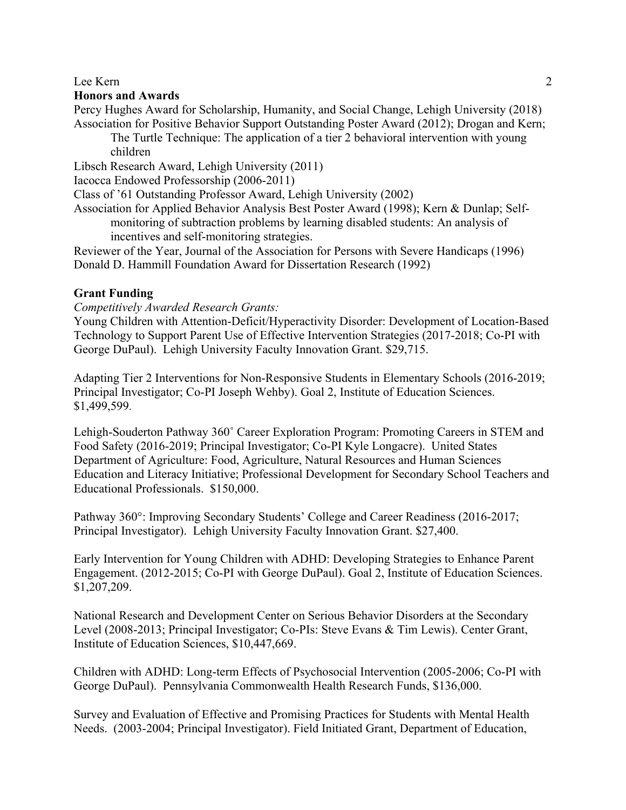## **Honors and Awards**

Percy Hughes Award for Scholarship, Humanity, and Social Change, Lehigh University (2018) Association for Positive Behavior Support Outstanding Poster Award (2012); Drogan and Kern;

The Turtle Technique: The application of a tier 2 behavioral intervention with young children

Libsch Research Award, Lehigh University (2011)

Iacocca Endowed Professorship (2006-2011)

Class of '61 Outstanding Professor Award, Lehigh University (2002)

Association for Applied Behavior Analysis Best Poster Award (1998); Kern & Dunlap; Selfmonitoring of subtraction problems by learning disabled students: An analysis of incentives and self-monitoring strategies.

Reviewer of the Year, Journal of the Association for Persons with Severe Handicaps (1996) Donald D. Hammill Foundation Award for Dissertation Research (1992)

## **Grant Funding**

### *Competitively Awarded Research Grants:*

Young Children with Attention-Deficit/Hyperactivity Disorder: Development of Location-Based Technology to Support Parent Use of Effective Intervention Strategies (2017-2018; Co-PI with George DuPaul). Lehigh University Faculty Innovation Grant. \$29,715.

Adapting Tier 2 Interventions for Non-Responsive Students in Elementary Schools (2016-2019; Principal Investigator; Co-PI Joseph Wehby). Goal 2, Institute of Education Sciences. \$1,499,599.

Lehigh-Souderton Pathway 360˚ Career Exploration Program: Promoting Careers in STEM and Food Safety (2016-2019; Principal Investigator; Co-PI Kyle Longacre). United States Department of Agriculture: Food, Agriculture, Natural Resources and Human Sciences Education and Literacy Initiative; Professional Development for Secondary School Teachers and Educational Professionals. \$150,000.

Pathway 360°: Improving Secondary Students' College and Career Readiness (2016-2017; Principal Investigator). Lehigh University Faculty Innovation Grant. \$27,400.

Early Intervention for Young Children with ADHD: Developing Strategies to Enhance Parent Engagement. (2012-2015; Co-PI with George DuPaul). Goal 2, Institute of Education Sciences. \$1,207,209.

National Research and Development Center on Serious Behavior Disorders at the Secondary Level (2008-2013; Principal Investigator; Co-PIs: Steve Evans & Tim Lewis). Center Grant, Institute of Education Sciences, \$10,447,669.

Children with ADHD: Long-term Effects of Psychosocial Intervention (2005-2006; Co-PI with George DuPaul). Pennsylvania Commonwealth Health Research Funds, \$136,000.

Survey and Evaluation of Effective and Promising Practices for Students with Mental Health Needs. (2003-2004; Principal Investigator). Field Initiated Grant, Department of Education,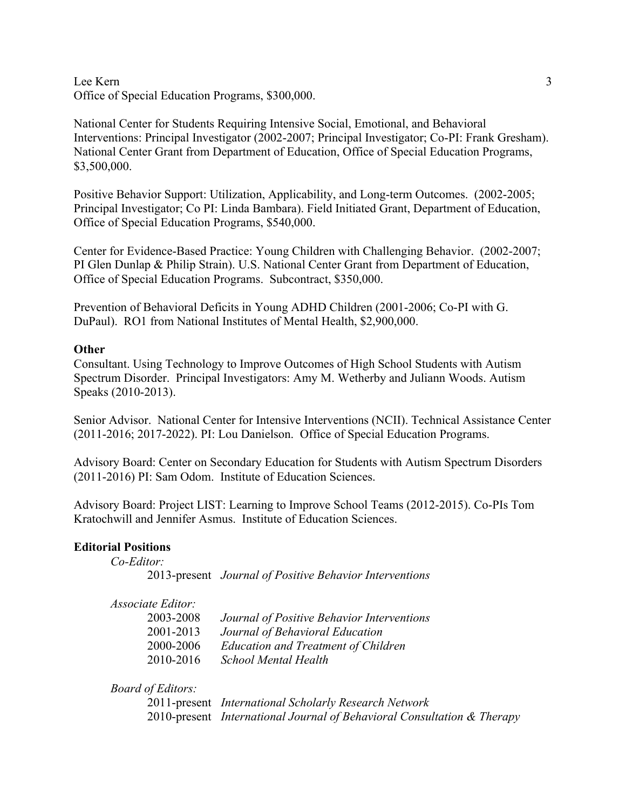## Lee Kern 3 Office of Special Education Programs, \$300,000.

National Center for Students Requiring Intensive Social, Emotional, and Behavioral Interventions: Principal Investigator (2002-2007; Principal Investigator; Co-PI: Frank Gresham). National Center Grant from Department of Education, Office of Special Education Programs, \$3,500,000.

Positive Behavior Support: Utilization, Applicability, and Long-term Outcomes. (2002-2005; Principal Investigator; Co PI: Linda Bambara). Field Initiated Grant, Department of Education, Office of Special Education Programs, \$540,000.

Center for Evidence-Based Practice: Young Children with Challenging Behavior. (2002-2007; PI Glen Dunlap & Philip Strain). U.S. National Center Grant from Department of Education, Office of Special Education Programs. Subcontract, \$350,000.

Prevention of Behavioral Deficits in Young ADHD Children (2001-2006; Co-PI with G. DuPaul). RO1 from National Institutes of Mental Health, \$2,900,000.

## **Other**

Consultant. Using Technology to Improve Outcomes of High School Students with Autism Spectrum Disorder. Principal Investigators: Amy M. Wetherby and Juliann Woods. Autism Speaks (2010-2013).

Senior Advisor. National Center for Intensive Interventions (NCII). Technical Assistance Center (2011-2016; 2017-2022). PI: Lou Danielson. Office of Special Education Programs.

Advisory Board: Center on Secondary Education for Students with Autism Spectrum Disorders (2011-2016) PI: Sam Odom. Institute of Education Sciences.

Advisory Board: Project LIST: Learning to Improve School Teams (2012-2015). Co-PIs Tom Kratochwill and Jennifer Asmus. Institute of Education Sciences.

## **Editorial Positions**

*Co-Editor:*

|  | 2013-present Journal of Positive Behavior Interventions |  |  |  |  |
|--|---------------------------------------------------------|--|--|--|--|
|--|---------------------------------------------------------|--|--|--|--|

| 2003-2008 | Journal of Positive Behavior Interventions |
|-----------|--------------------------------------------|
| 2001-2013 | Journal of Behavioral Education            |
| 2000-2006 | <b>Education and Treatment of Children</b> |
| 2010-2016 | <b>School Mental Health</b>                |

*Board of Editors:*

2011-present *International Scholarly Research Network* 2010-present *International Journal of Behavioral Consultation & Therapy*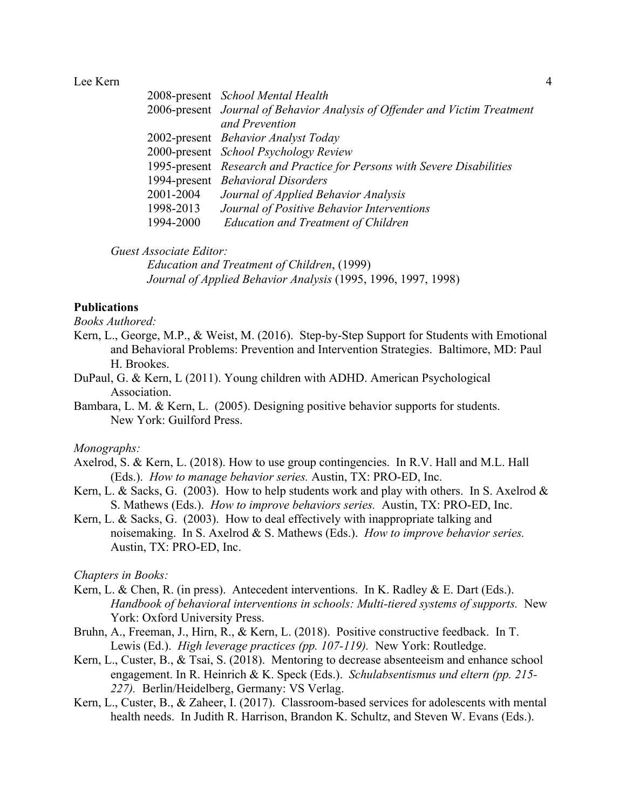|           | 2008-present School Mental Health                                          |
|-----------|----------------------------------------------------------------------------|
|           | 2006-present Journal of Behavior Analysis of Offender and Victim Treatment |
|           | and Prevention                                                             |
|           | 2002-present Behavior Analyst Today                                        |
|           | 2000-present School Psychology Review                                      |
|           | 1995-present Research and Practice for Persons with Severe Disabilities    |
|           | 1994-present Behavioral Disorders                                          |
| 2001-2004 | Journal of Applied Behavior Analysis                                       |
| 1998-2013 | Journal of Positive Behavior Interventions                                 |
| 1994-2000 | <b>Education and Treatment of Children</b>                                 |

*Guest Associate Editor:*

*Education and Treatment of Children*, (1999) *Journal of Applied Behavior Analysis* (1995, 1996, 1997, 1998)

## **Publications**

*Books Authored:*

- Kern, L., George, M.P., & Weist, M. (2016). Step-by-Step Support for Students with Emotional and Behavioral Problems: Prevention and Intervention Strategies. Baltimore, MD: Paul H. Brookes.
- DuPaul, G. & Kern, L (2011). Young children with ADHD. American Psychological **Association**
- Bambara, L. M. & Kern, L. (2005). Designing positive behavior supports for students. New York: Guilford Press.

#### *Monographs:*

- Axelrod, S. & Kern, L. (2018). How to use group contingencies. In R.V. Hall and M.L. Hall (Eds.). *How to manage behavior series.* Austin, TX: PRO-ED, Inc.
- Kern, L. & Sacks, G. (2003). How to help students work and play with others. In S. Axelrod  $\&$ S. Mathews (Eds.). *How to improve behaviors series.* Austin, TX: PRO-ED, Inc.
- Kern, L. & Sacks, G. (2003). How to deal effectively with inappropriate talking and noisemaking. In S. Axelrod & S. Mathews (Eds.). *How to improve behavior series.* Austin, TX: PRO-ED, Inc.

#### *Chapters in Books:*

- Kern, L. & Chen, R. (in press). Antecedent interventions. In K. Radley & E. Dart (Eds.). *Handbook of behavioral interventions in schools: Multi-tiered systems of supports.* New York: Oxford University Press.
- Bruhn, A., Freeman, J., Hirn, R., & Kern, L. (2018). Positive constructive feedback. In T. Lewis (Ed.). *High leverage practices (pp. 107-119).* New York: Routledge.
- Kern, L., Custer, B., & Tsai, S. (2018). Mentoring to decrease absenteeism and enhance school engagement. In R. Heinrich & K. Speck (Eds.). *Schulabsentismus und eltern (pp. 215- 227).* Berlin/Heidelberg, Germany: VS Verlag.
- Kern, L., Custer, B., & Zaheer, I. (2017). Classroom-based services for adolescents with mental health needs. In Judith R. Harrison, Brandon K. Schultz, and Steven W. Evans (Eds.).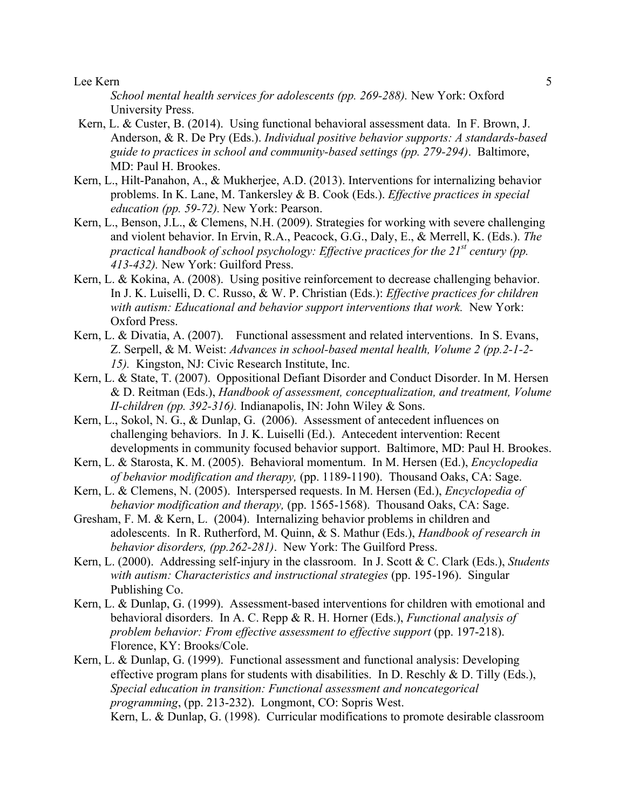*School mental health services for adolescents (pp. 269-288).* New York: Oxford University Press.

- Kern, L. & Custer, B. (2014). Using functional behavioral assessment data. In F. Brown, J. Anderson, & R. De Pry (Eds.). *Individual positive behavior supports: A standards-based guide to practices in school and community-based settings (pp. 279-294)*. Baltimore, MD: Paul H. Brookes.
- Kern, L., Hilt-Panahon, A., & Mukherjee, A.D. (2013). Interventions for internalizing behavior problems. In K. Lane, M. Tankersley & B. Cook (Eds.). *Effective practices in special education (pp. 59-72).* New York: Pearson.
- Kern, L., Benson, J.L., & Clemens, N.H. (2009). Strategies for working with severe challenging and violent behavior. In Ervin, R.A., Peacock, G.G., Daly, E., & Merrell, K. (Eds.). *The practical handbook of school psychology: Effective practices for the 21st century (pp. 413-432).* New York: Guilford Press.
- Kern, L. & Kokina, A. (2008). Using positive reinforcement to decrease challenging behavior. In J. K. Luiselli, D. C. Russo, & W. P. Christian (Eds.): *Effective practices for children*  with autism: Educational and behavior support interventions that work. New York: Oxford Press.
- Kern, L. & Divatia, A. (2007). Functional assessment and related interventions. In S. Evans, Z. Serpell, & M. Weist: *Advances in school-based mental health, Volume 2 (pp.2-1-2- 15).* Kingston, NJ: Civic Research Institute, Inc.
- Kern, L. & State, T. (2007). Oppositional Defiant Disorder and Conduct Disorder. In M. Hersen & D. Reitman (Eds.), *Handbook of assessment, conceptualization, and treatment, Volume II-children (pp. 392-316).* Indianapolis, IN: John Wiley & Sons.
- Kern, L., Sokol, N. G., & Dunlap, G. (2006). Assessment of antecedent influences on challenging behaviors. In J. K. Luiselli (Ed.). Antecedent intervention: Recent developments in community focused behavior support. Baltimore, MD: Paul H. Brookes.
- Kern, L. & Starosta, K. M. (2005). Behavioral momentum. In M. Hersen (Ed.), *Encyclopedia of behavior modification and therapy,* (pp. 1189-1190). Thousand Oaks, CA: Sage.
- Kern, L. & Clemens, N. (2005). Interspersed requests. In M. Hersen (Ed.), *Encyclopedia of behavior modification and therapy,* (pp. 1565-1568). Thousand Oaks, CA: Sage.
- Gresham, F. M. & Kern, L. (2004). Internalizing behavior problems in children and adolescents. In R. Rutherford, M. Quinn, & S. Mathur (Eds.), *Handbook of research in behavior disorders, (pp.262-281)*. New York: The Guilford Press.
- Kern, L. (2000). Addressing self-injury in the classroom. In J. Scott & C. Clark (Eds.), *Students with autism: Characteristics and instructional strategies* (pp. 195-196). Singular Publishing Co.
- Kern, L. & Dunlap, G. (1999). Assessment-based interventions for children with emotional and behavioral disorders. In A. C. Repp & R. H. Horner (Eds.), *Functional analysis of problem behavior: From effective assessment to effective support* (pp. 197-218). Florence, KY: Brooks/Cole.
- Kern, L. & Dunlap, G. (1999). Functional assessment and functional analysis: Developing effective program plans for students with disabilities. In D. Reschly  $\&$  D. Tilly (Eds.), *Special education in transition: Functional assessment and noncategorical programming*, (pp. 213-232). Longmont, CO: Sopris West. Kern, L. & Dunlap, G. (1998). Curricular modifications to promote desirable classroom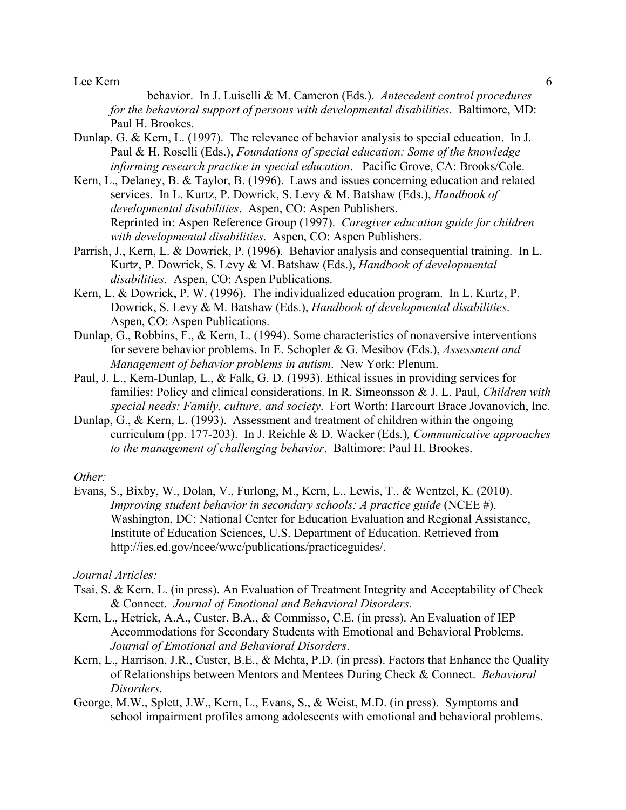behavior. In J. Luiselli & M. Cameron (Eds.). *Antecedent control procedures for the behavioral support of persons with developmental disabilities*. Baltimore, MD: Paul H. Brookes.

- Dunlap, G. & Kern, L. (1997). The relevance of behavior analysis to special education. In J. Paul & H. Roselli (Eds.), *Foundations of special education: Some of the knowledge informing research practice in special education*. Pacific Grove, CA: Brooks/Cole.
- Kern, L., Delaney, B. & Taylor, B. (1996). Laws and issues concerning education and related services. In L. Kurtz, P. Dowrick, S. Levy & M. Batshaw (Eds.), *Handbook of developmental disabilities*. Aspen, CO: Aspen Publishers. Reprinted in: Aspen Reference Group (1997). *Caregiver education guide for children with developmental disabilities*. Aspen, CO: Aspen Publishers.
- Parrish, J., Kern, L. & Dowrick, P. (1996). Behavior analysis and consequential training. In L. Kurtz, P. Dowrick, S. Levy & M. Batshaw (Eds.), *Handbook of developmental disabilities.* Aspen, CO: Aspen Publications.
- Kern, L. & Dowrick, P. W. (1996). The individualized education program. In L. Kurtz, P. Dowrick, S. Levy & M. Batshaw (Eds.), *Handbook of developmental disabilities*. Aspen, CO: Aspen Publications.
- Dunlap, G., Robbins, F., & Kern, L. (1994). Some characteristics of nonaversive interventions for severe behavior problems. In E. Schopler & G. Mesibov (Eds.), *Assessment and Management of behavior problems in autism*. New York: Plenum.
- Paul, J. L., Kern-Dunlap, L., & Falk, G. D. (1993). Ethical issues in providing services for families: Policy and clinical considerations. In R. Simeonsson & J. L. Paul, *Children with special needs: Family, culture, and society*. Fort Worth: Harcourt Brace Jovanovich, Inc.
- Dunlap, G., & Kern, L. (1993). Assessment and treatment of children within the ongoing curriculum (pp. 177-203). In J. Reichle & D. Wacker (Eds*.*)*, Communicative approaches to the management of challenging behavior*. Baltimore: Paul H. Brookes.

## *Other:*

Evans, S., Bixby, W., Dolan, V., Furlong, M., Kern, L., Lewis, T., & Wentzel, K. (2010). *Improving student behavior in secondary schools: A practice guide* (NCEE #). Washington, DC: National Center for Education Evaluation and Regional Assistance, Institute of Education Sciences, U.S. Department of Education. Retrieved from http://ies.ed.gov/ncee/wwc/publications/practiceguides/.

### *Journal Articles:*

- Tsai, S. & Kern, L. (in press). An Evaluation of Treatment Integrity and Acceptability of Check & Connect. *Journal of Emotional and Behavioral Disorders.*
- Kern, L., Hetrick, A.A., Custer, B.A., & Commisso, C.E. (in press). An Evaluation of IEP Accommodations for Secondary Students with Emotional and Behavioral Problems. *Journal of Emotional and Behavioral Disorders*.
- Kern, L., Harrison, J.R., Custer, B.E., & Mehta, P.D. (in press). Factors that Enhance the Quality of Relationships between Mentors and Mentees During Check & Connect. *Behavioral Disorders.*
- George, M.W., Splett, J.W., Kern, L., Evans, S., & Weist, M.D. (in press). Symptoms and school impairment profiles among adolescents with emotional and behavioral problems.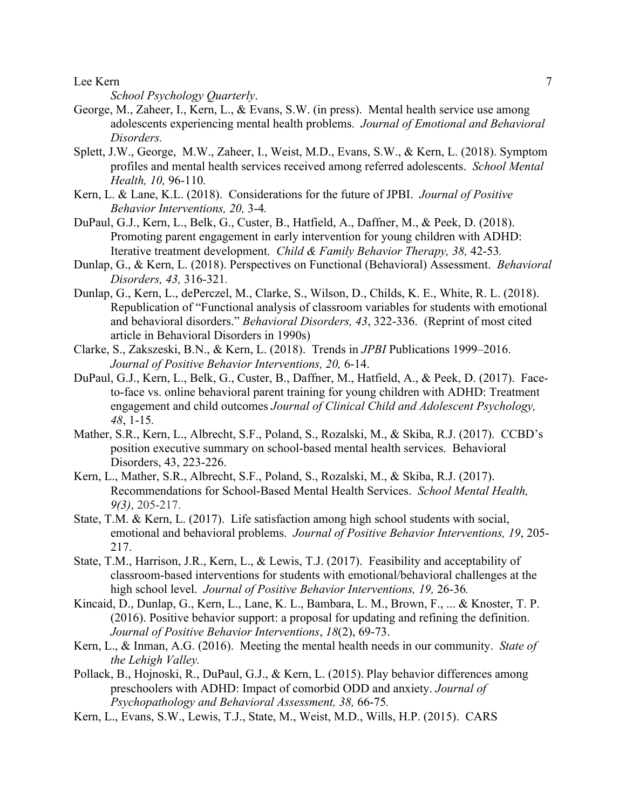*School Psychology Quarterly*.

- George, M., Zaheer, I., Kern, L., & Evans, S.W. (in press). Mental health service use among adolescents experiencing mental health problems. *Journal of Emotional and Behavioral Disorders.*
- Splett, J.W., George, M.W., Zaheer, I., Weist, M.D., Evans, S.W., & Kern, L. (2018). Symptom profiles and mental health services received among referred adolescents. *School Mental Health, 10,* 96-110*.*
- Kern, L. & Lane, K.L. (2018). Considerations for the future of JPBI. *Journal of Positive Behavior Interventions, 20,* 3-4*.*
- DuPaul, G.J., Kern, L., Belk, G., Custer, B., Hatfield, A., Daffner, M., & Peek, D. (2018). Promoting parent engagement in early intervention for young children with ADHD: Iterative treatment development. *Child & Family Behavior Therapy, 38,* 42-53*.*
- Dunlap, G., & Kern, L. (2018). Perspectives on Functional (Behavioral) Assessment. *Behavioral Disorders, 43,* 316-321*.*
- Dunlap, G., Kern, L., dePerczel, M., Clarke, S., Wilson, D., Childs, K. E., White, R. L. (2018). Republication of "Functional analysis of classroom variables for students with emotional and behavioral disorders." *Behavioral Disorders, 43*, 322-336. (Reprint of most cited article in Behavioral Disorders in 1990s)
- Clarke, S., Zakszeski, B.N., & Kern, L. (2018). Trends in *JPBI* Publications 1999–2016. *Journal of Positive Behavior Interventions, 20,* 6-14.
- DuPaul, G.J., Kern, L., Belk, G., Custer, B., Daffner, M., Hatfield, A., & Peek, D. (2017). Faceto-face vs. online behavioral parent training for young children with ADHD: Treatment engagement and child outcomes *Journal of Clinical Child and Adolescent Psychology, 48*, 1-15*.*
- Mather, S.R., Kern, L., Albrecht, S.F., Poland, S., Rozalski, M., & Skiba, R.J. (2017). CCBD's position executive summary on school-based mental health services. Behavioral Disorders, 43, 223-226.
- Kern, L., Mather, S.R., Albrecht, S.F., Poland, S., Rozalski, M., & Skiba, R.J. (2017). Recommendations for School-Based Mental Health Services. *School Mental Health, 9(3)*, 205-217.
- State, T.M. & Kern, L. (2017). Life satisfaction among high school students with social, emotional and behavioral problems. *Journal of Positive Behavior Interventions, 19*, 205- 217.
- State, T.M., Harrison, J.R., Kern, L., & Lewis, T.J. (2017). Feasibility and acceptability of classroom-based interventions for students with emotional/behavioral challenges at the high school level. *Journal of Positive Behavior Interventions, 19,* 26-36*.*
- Kincaid, D., Dunlap, G., Kern, L., Lane, K. L., Bambara, L. M., Brown, F., ... & Knoster, T. P. (2016). Positive behavior support: a proposal for updating and refining the definition. *Journal of Positive Behavior Interventions*, *18*(2), 69-73.
- Kern, L., & Inman, A.G. (2016). Meeting the mental health needs in our community. *State of the Lehigh Valley.*
- Pollack, B., Hojnoski, R., DuPaul, G.J., & Kern, L. (2015). Play behavior differences among preschoolers with ADHD: Impact of comorbid ODD and anxiety. *Journal of Psychopathology and Behavioral Assessment, 38,* 66-75*.*
- Kern, L., Evans, S.W., Lewis, T.J., State, M., Weist, M.D., Wills, H.P. (2015). CARS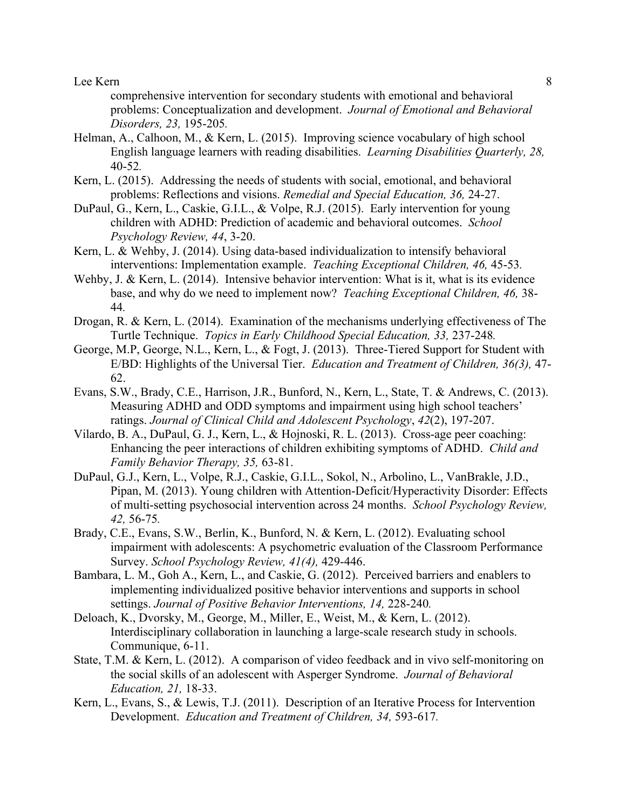comprehensive intervention for secondary students with emotional and behavioral problems: Conceptualization and development. *Journal of Emotional and Behavioral Disorders, 23,* 195-205*.*

- Helman, A., Calhoon, M., & Kern, L. (2015). Improving science vocabulary of high school English language learners with reading disabilities. *Learning Disabilities Quarterly, 28,*  40-52*.*
- Kern, L. (2015). Addressing the needs of students with social, emotional, and behavioral problems: Reflections and visions. *Remedial and Special Education, 36,* 24-27.
- DuPaul, G., Kern, L., Caskie, G.I.L., & Volpe, R.J. (2015). Early intervention for young children with ADHD: Prediction of academic and behavioral outcomes. *School Psychology Review, 44*, 3-20.
- Kern, L. & Wehby, J. (2014). Using data-based individualization to intensify behavioral interventions: Implementation example. *Teaching Exceptional Children, 46,* 45-53*.*
- Wehby, J. & Kern, L. (2014). Intensive behavior intervention: What is it, what is its evidence base, and why do we need to implement now? *Teaching Exceptional Children, 46,* 38- 44*.*
- Drogan, R. & Kern, L. (2014). Examination of the mechanisms underlying effectiveness of The Turtle Technique. *Topics in Early Childhood Special Education, 33,* 237-248*.*
- George, M.P, George, N.L., Kern, L., & Fogt, J. (2013). Three-Tiered Support for Student with E/BD: Highlights of the Universal Tier. *Education and Treatment of Children, 36(3),* 47- 62.
- Evans, S.W., Brady, C.E., Harrison, J.R., Bunford, N., Kern, L., State, T. & Andrews, C. (2013). Measuring ADHD and ODD symptoms and impairment using high school teachers' ratings. *Journal of Clinical Child and Adolescent Psychology*, *42*(2), 197-207.
- Vilardo, B. A., DuPaul, G. J., Kern, L., & Hojnoski, R. L. (2013). Cross-age peer coaching: Enhancing the peer interactions of children exhibiting symptoms of ADHD. *Child and Family Behavior Therapy, 35,* 63-81.
- DuPaul, G.J., Kern, L., Volpe, R.J., Caskie, G.I.L., Sokol, N., Arbolino, L., VanBrakle, J.D., Pipan, M. (2013). Young children with Attention-Deficit/Hyperactivity Disorder: Effects of multi-setting psychosocial intervention across 24 months. *School Psychology Review, 42,* 56-75*.*
- Brady, C.E., Evans, S.W., Berlin, K., Bunford, N. & Kern, L. (2012). Evaluating school impairment with adolescents: A psychometric evaluation of the Classroom Performance Survey. *School Psychology Review, 41(4),* 429-446.
- Bambara, L. M., Goh A., Kern, L., and Caskie, G. (2012). Perceived barriers and enablers to implementing individualized positive behavior interventions and supports in school settings. *Journal of Positive Behavior Interventions, 14,* 228-240*.*
- Deloach, K., Dvorsky, M., George, M., Miller, E., Weist, M., & Kern, L. (2012). Interdisciplinary collaboration in launching a large-scale research study in schools. Communique, 6-11.
- State, T.M. & Kern, L. (2012). A comparison of video feedback and in vivo self-monitoring on the social skills of an adolescent with Asperger Syndrome. *Journal of Behavioral Education, 21,* 18-33.
- Kern, L., Evans, S., & Lewis, T.J. (2011). Description of an Iterative Process for Intervention Development. *Education and Treatment of Children, 34,* 593-617*.*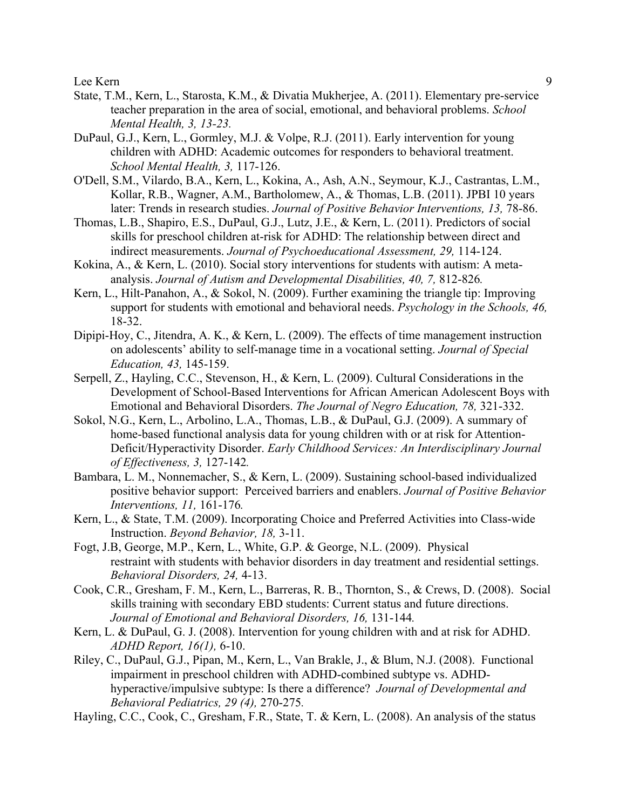- State, T.M., Kern, L., Starosta, K.M., & Divatia Mukherjee, A. (2011). Elementary pre-service teacher preparation in the area of social, emotional, and behavioral problems. *School Mental Health, 3, 13-23.*
- DuPaul, G.J., Kern, L., Gormley, M.J. & Volpe, R.J. (2011). Early intervention for young children with ADHD: Academic outcomes for responders to behavioral treatment. *School Mental Health, 3,* 117-126.
- O'Dell, S.M., Vilardo, B.A., Kern, L., Kokina, A., Ash, A.N., Seymour, K.J., Castrantas, L.M., Kollar, R.B., Wagner, A.M., Bartholomew, A., & Thomas, L.B. (2011). JPBI 10 years later: Trends in research studies. *Journal of Positive Behavior Interventions, 13, 78-86.*
- Thomas, L.B., Shapiro, E.S., DuPaul, G.J., Lutz, J.E., & Kern, L. (2011). Predictors of social skills for preschool children at-risk for ADHD: The relationship between direct and indirect measurements. *Journal of Psychoeducational Assessment, 29,* 114-124.
- Kokina, A., & Kern, L. (2010). Social story interventions for students with autism: A metaanalysis. *Journal of Autism and Developmental Disabilities, 40, 7,* 812-826*.*
- Kern, L., Hilt-Panahon, A., & Sokol, N. (2009). Further examining the triangle tip: Improving support for students with emotional and behavioral needs. *Psychology in the Schools, 46,*  18-32.
- Dipipi-Hoy, C., Jitendra, A. K., & Kern, L. (2009). The effects of time management instruction on adolescents' ability to self-manage time in a vocational setting. *Journal of Special Education, 43,* 145-159.
- Serpell, Z., Hayling, C.C., Stevenson, H., & Kern, L. (2009). Cultural Considerations in the Development of School-Based Interventions for African American Adolescent Boys with Emotional and Behavioral Disorders. *The Journal of Negro Education, 78,* 321-332.
- Sokol, N.G., Kern, L., Arbolino, L.A., Thomas, L.B., & DuPaul, G.J. (2009). A summary of home-based functional analysis data for young children with or at risk for Attention-Deficit/Hyperactivity Disorder. *Early Childhood Services: An Interdisciplinary Journal of Effectiveness, 3,* 127-142*.*
- Bambara, L. M., Nonnemacher, S., & Kern, L. (2009). Sustaining school-based individualized positive behavior support: Perceived barriers and enablers. *Journal of Positive Behavior Interventions, 11,* 161-176*.*
- Kern, L., & State, T.M. (2009). Incorporating Choice and Preferred Activities into Class-wide Instruction. *Beyond Behavior, 18,* 3-11.
- Fogt, J.B, George, M.P., Kern, L., White, G.P. & George, N.L. (2009). Physical restraint with students with behavior disorders in day treatment and residential settings. *Behavioral Disorders, 24,* 4-13.
- Cook, C.R., Gresham, F. M., Kern, L., Barreras, R. B., Thornton, S., & Crews, D. (2008). Social skills training with secondary EBD students: Current status and future directions. *Journal of Emotional and Behavioral Disorders, 16,* 131-144*.*
- Kern, L. & DuPaul, G. J. (2008). Intervention for young children with and at risk for ADHD. *ADHD Report, 16(1),* 6-10.
- Riley, C., DuPaul, G.J., Pipan, M., Kern, L., Van Brakle, J., & Blum, N.J. (2008). Functional impairment in preschool children with ADHD-combined subtype vs. ADHDhyperactive/impulsive subtype: Is there a difference? *Journal of Developmental and Behavioral Pediatrics, 29 (4),* 270-275*.*
- Hayling, C.C., Cook, C., Gresham, F.R., State, T. & Kern, L. (2008). An analysis of the status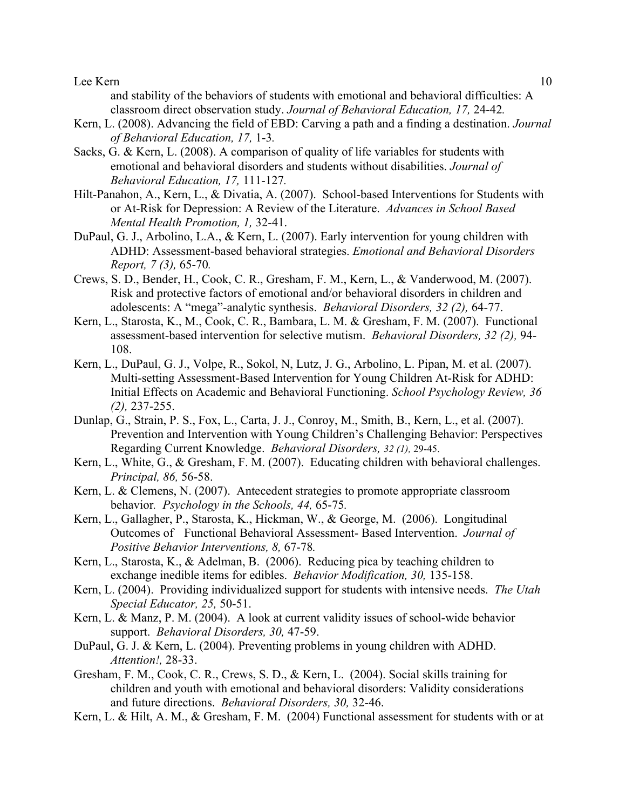and stability of the behaviors of students with emotional and behavioral difficulties: A classroom direct observation study. *Journal of Behavioral Education, 17,* 24-42*.*

- Kern, L. (2008). Advancing the field of EBD: Carving a path and a finding a destination. *Journal of Behavioral Education, 17,* 1-3*.*
- Sacks, G. & Kern, L. (2008). A comparison of quality of life variables for students with emotional and behavioral disorders and students without disabilities. *Journal of Behavioral Education, 17,* 111-127*.*
- Hilt-Panahon, A., Kern, L., & Divatia, A. (2007). School-based Interventions for Students with or At-Risk for Depression: A Review of the Literature. *Advances in School Based Mental Health Promotion, 1,* 32-41.
- DuPaul, G. J., Arbolino, L.A., & Kern, L. (2007). Early intervention for young children with ADHD: Assessment-based behavioral strategies. *Emotional and Behavioral Disorders Report, 7 (3),* 65-70*.*
- Crews, S. D., Bender, H., Cook, C. R., Gresham, F. M., Kern, L., & Vanderwood, M. (2007). Risk and protective factors of emotional and/or behavioral disorders in children and adolescents: A "mega"-analytic synthesis. *Behavioral Disorders, 32 (2),* 64-77.
- Kern, L., Starosta, K., M., Cook, C. R., Bambara, L. M. & Gresham, F. M. (2007). Functional assessment-based intervention for selective mutism. *Behavioral Disorders, 32 (2),* 94- 108.
- Kern, L., DuPaul, G. J., Volpe, R., Sokol, N, Lutz, J. G., Arbolino, L. Pipan, M. et al. (2007). Multi-setting Assessment-Based Intervention for Young Children At-Risk for ADHD: Initial Effects on Academic and Behavioral Functioning. *School Psychology Review, 36 (2),* 237-255.
- Dunlap, G., Strain, P. S., Fox, L., Carta, J. J., Conroy, M., Smith, B., Kern, L., et al. (2007). Prevention and Intervention with Young Children's Challenging Behavior: Perspectives Regarding Current Knowledge. *Behavioral Disorders, 32 (1),* 29-45.
- Kern, L., White, G., & Gresham, F. M. (2007). Educating children with behavioral challenges. *Principal, 86,* 56-58.
- Kern, L. & Clemens, N. (2007). Antecedent strategies to promote appropriate classroom behavior*. Psychology in the Schools, 44,* 65-75*.*
- Kern, L., Gallagher, P., Starosta, K., Hickman, W., & George, M. (2006). Longitudinal Outcomes of Functional Behavioral Assessment- Based Intervention. *Journal of Positive Behavior Interventions, 8,* 67-78*.*
- Kern, L., Starosta, K., & Adelman, B. (2006). Reducing pica by teaching children to exchange inedible items for edibles. *Behavior Modification, 30,* 135-158.
- Kern, L. (2004). Providing individualized support for students with intensive needs. *The Utah Special Educator, 25,* 50-51.
- Kern, L. & Manz, P. M. (2004). A look at current validity issues of school-wide behavior support. *Behavioral Disorders, 30,* 47-59.
- DuPaul, G. J. & Kern, L. (2004). Preventing problems in young children with ADHD. *Attention!,* 28-33.
- Gresham, F. M., Cook, C. R., Crews, S. D., & Kern, L. (2004). Social skills training for children and youth with emotional and behavioral disorders: Validity considerations and future directions. *Behavioral Disorders, 30,* 32-46.
- Kern, L. & Hilt, A. M., & Gresham, F. M. (2004) Functional assessment for students with or at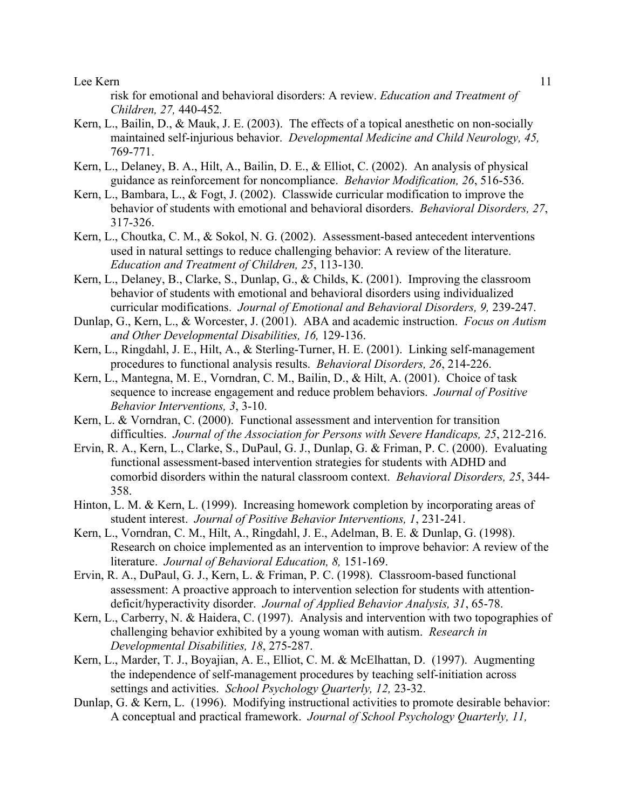risk for emotional and behavioral disorders: A review. *Education and Treatment of Children, 27,* 440-452*.*

- Kern, L., Bailin, D., & Mauk, J. E. (2003). The effects of a topical anesthetic on non-socially maintained self-injurious behavior. *Developmental Medicine and Child Neurology, 45,* 769-771.
- Kern, L., Delaney, B. A., Hilt, A., Bailin, D. E., & Elliot, C. (2002). An analysis of physical guidance as reinforcement for noncompliance. *Behavior Modification, 26*, 516-536.
- Kern, L., Bambara, L., & Fogt, J. (2002). Classwide curricular modification to improve the behavior of students with emotional and behavioral disorders. *Behavioral Disorders, 27*, 317-326.
- Kern, L., Choutka, C. M., & Sokol, N. G. (2002). Assessment-based antecedent interventions used in natural settings to reduce challenging behavior: A review of the literature. *Education and Treatment of Children, 25*, 113-130.
- Kern, L., Delaney, B., Clarke, S., Dunlap, G., & Childs, K. (2001). Improving the classroom behavior of students with emotional and behavioral disorders using individualized curricular modifications. *Journal of Emotional and Behavioral Disorders, 9,* 239-247.
- Dunlap, G., Kern, L., & Worcester, J. (2001). ABA and academic instruction. *Focus on Autism and Other Developmental Disabilities, 16,* 129-136.
- Kern, L., Ringdahl, J. E., Hilt, A., & Sterling-Turner, H. E. (2001). Linking self-management procedures to functional analysis results. *Behavioral Disorders, 26*, 214-226.
- Kern, L., Mantegna, M. E., Vorndran, C. M., Bailin, D., & Hilt, A. (2001). Choice of task sequence to increase engagement and reduce problem behaviors. *Journal of Positive Behavior Interventions, 3*, 3-10.
- Kern, L. & Vorndran, C. (2000). Functional assessment and intervention for transition difficulties. *Journal of the Association for Persons with Severe Handicaps, 25*, 212-216.
- Ervin, R. A., Kern, L., Clarke, S., DuPaul, G. J., Dunlap, G. & Friman, P. C. (2000). Evaluating functional assessment-based intervention strategies for students with ADHD and comorbid disorders within the natural classroom context. *Behavioral Disorders, 25*, 344- 358.
- Hinton, L. M. & Kern, L. (1999). Increasing homework completion by incorporating areas of student interest. *Journal of Positive Behavior Interventions, 1*, 231-241.
- Kern, L., Vorndran, C. M., Hilt, A., Ringdahl, J. E., Adelman, B. E. & Dunlap, G. (1998). Research on choice implemented as an intervention to improve behavior: A review of the literature. *Journal of Behavioral Education, 8,* 151-169.
- Ervin, R. A., DuPaul, G. J., Kern, L. & Friman, P. C. (1998). Classroom-based functional assessment: A proactive approach to intervention selection for students with attentiondeficit/hyperactivity disorder. *Journal of Applied Behavior Analysis, 31*, 65-78.
- Kern, L., Carberry, N. & Haidera, C. (1997). Analysis and intervention with two topographies of challenging behavior exhibited by a young woman with autism. *Research in Developmental Disabilities, 18*, 275-287.
- Kern, L., Marder, T. J., Boyajian, A. E., Elliot, C. M. & McElhattan, D. (1997). Augmenting the independence of self-management procedures by teaching self-initiation across settings and activities. *School Psychology Quarterly, 12,* 23-32.
- Dunlap, G. & Kern, L. (1996). Modifying instructional activities to promote desirable behavior: A conceptual and practical framework. *Journal of School Psychology Quarterly, 11,*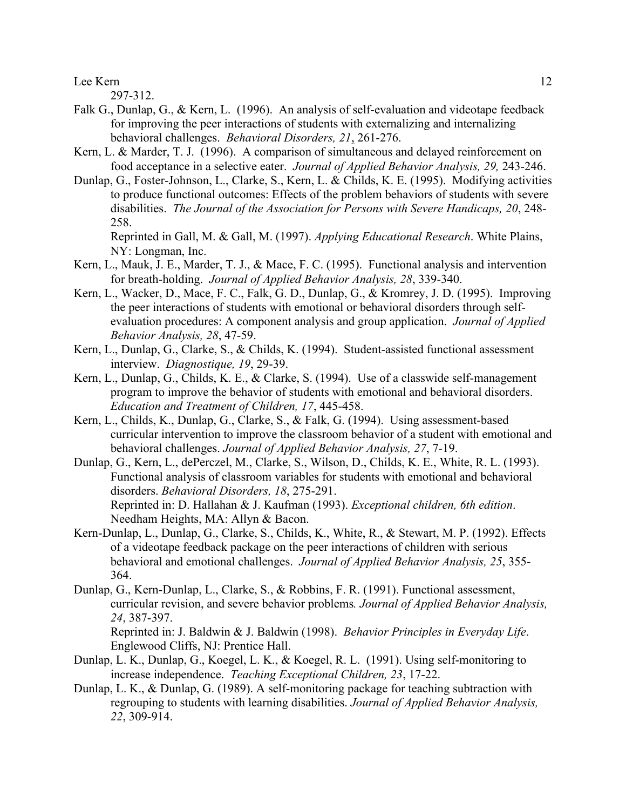297-312.

- Falk G., Dunlap, G., & Kern, L. (1996). An analysis of self-evaluation and videotape feedback for improving the peer interactions of students with externalizing and internalizing behavioral challenges. *Behavioral Disorders, 21*, 261-276.
- Kern, L. & Marder, T. J. (1996). A comparison of simultaneous and delayed reinforcement on food acceptance in a selective eater. *Journal of Applied Behavior Analysis, 29,* 243-246.
- Dunlap, G., Foster-Johnson, L., Clarke, S., Kern, L. & Childs, K. E. (1995). Modifying activities to produce functional outcomes: Effects of the problem behaviors of students with severe disabilities. *The Journal of the Association for Persons with Severe Handicaps, 20*, 248- 258.

Reprinted in Gall, M. & Gall, M. (1997). *Applying Educational Research*. White Plains, NY: Longman, Inc.

- Kern, L., Mauk, J. E., Marder, T. J., & Mace, F. C. (1995). Functional analysis and intervention for breath-holding. *Journal of Applied Behavior Analysis, 28*, 339-340.
- Kern, L., Wacker, D., Mace, F. C., Falk, G. D., Dunlap, G., & Kromrey, J. D. (1995). Improving the peer interactions of students with emotional or behavioral disorders through selfevaluation procedures: A component analysis and group application. *Journal of Applied Behavior Analysis, 28*, 47-59.
- Kern, L., Dunlap, G., Clarke, S., & Childs, K. (1994). Student-assisted functional assessment interview. *Diagnostique, 19*, 29-39.
- Kern, L., Dunlap, G., Childs, K. E., & Clarke, S. (1994). Use of a classwide self-management program to improve the behavior of students with emotional and behavioral disorders. *Education and Treatment of Children, 17*, 445-458.
- Kern, L., Childs, K., Dunlap, G., Clarke, S., & Falk, G. (1994). Using assessment-based curricular intervention to improve the classroom behavior of a student with emotional and behavioral challenges. *Journal of Applied Behavior Analysis, 27*, 7-19.
- Dunlap, G., Kern, L., dePerczel, M., Clarke, S., Wilson, D., Childs, K. E., White, R. L. (1993). Functional analysis of classroom variables for students with emotional and behavioral disorders. *Behavioral Disorders, 18*, 275-291. Reprinted in: D. Hallahan & J. Kaufman (1993). *Exceptional children, 6th edition*. Needham Heights, MA: Allyn & Bacon.
- Kern-Dunlap, L., Dunlap, G., Clarke, S., Childs, K., White, R., & Stewart, M. P. (1992). Effects of a videotape feedback package on the peer interactions of children with serious behavioral and emotional challenges. *Journal of Applied Behavior Analysis, 25*, 355- 364.
- Dunlap, G., Kern-Dunlap, L., Clarke, S., & Robbins, F. R. (1991). Functional assessment, curricular revision, and severe behavior problems*. Journal of Applied Behavior Analysis, 24*, 387-397. Reprinted in: J. Baldwin & J. Baldwin (1998). *Behavior Principles in Everyday Life*.

Englewood Cliffs, NJ: Prentice Hall.

- Dunlap, L. K., Dunlap, G., Koegel, L. K., & Koegel, R. L. (1991). Using self-monitoring to increase independence. *Teaching Exceptional Children, 23*, 17-22.
- Dunlap, L. K., & Dunlap, G. (1989). A self-monitoring package for teaching subtraction with regrouping to students with learning disabilities. *Journal of Applied Behavior Analysis, 22*, 309-914.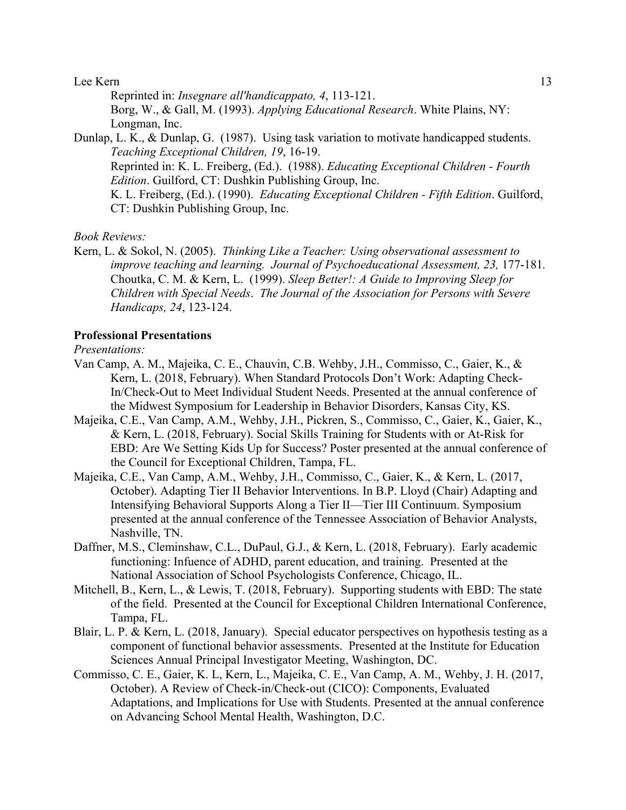Reprinted in: *Insegnare all'handicappato, 4*, 113-121. Borg, W., & Gall, M. (1993). *Applying Educational Research*. White Plains, NY: Longman, Inc.

Dunlap, L. K., & Dunlap, G. (1987). Using task variation to motivate handicapped students. *Teaching Exceptional Children, 19*, 16-19. Reprinted in: K. L. Freiberg, (Ed.). (1988). *Educating Exceptional Children - Fourth Edition*. Guilford, CT: Dushkin Publishing Group, Inc. K. L. Freiberg, (Ed.). (1990). *Educating Exceptional Children - Fifth Edition*. Guilford, CT: Dushkin Publishing Group, Inc.

#### *Book Reviews:*

Kern, L. & Sokol, N. (2005). *Thinking Like a Teacher: Using observational assessment to improve teaching and learning. Journal of Psychoeducational Assessment, 23, 177-181.* Choutka, C. M. & Kern, L. (1999). *Sleep Better!: A Guide to Improving Sleep for Children with Special Needs*. *The Journal of the Association for Persons with Severe Handicaps, 24*, 123-124.

## **Professional Presentations**

## *Presentations:*

- Van Camp, A. M., Majeika, C. E., Chauvin, C.B. Wehby, J.H., Commisso, C., Gaier, K., & Kern, L. (2018, February). When Standard Protocols Don't Work: Adapting Check-In/Check-Out to Meet Individual Student Needs. Presented at the annual conference of the Midwest Symposium for Leadership in Behavior Disorders, Kansas City, KS.
- Majeika, C.E., Van Camp, A.M., Wehby, J.H., Pickren, S., Commisso, C., Gaier, K., Gaier, K., & Kern, L. (2018, February). Social Skills Training for Students with or At-Risk for EBD: Are We Setting Kids Up for Success? Poster presented at the annual conference of the Council for Exceptional Children, Tampa, FL.
- Majeika, C.E., Van Camp, A.M., Wehby, J.H., Commisso, C., Gaier, K., & Kern, L. (2017, October). Adapting Tier II Behavior Interventions. In B.P. Lloyd (Chair) Adapting and Intensifying Behavioral Supports Along a Tier II—Tier III Continuum. Symposium presented at the annual conference of the Tennessee Association of Behavior Analysts, Nashville, TN.
- Daffner, M.S., Cleminshaw, C.L., DuPaul, G.J., & Kern, L. (2018, February). Early academic functioning: Infuence of ADHD, parent education, and training. Presented at the National Association of School Psychologists Conference, Chicago, IL.
- Mitchell, B., Kern, L., & Lewis, T. (2018, February). Supporting students with EBD: The state of the field. Presented at the Council for Exceptional Children International Conference, Tampa, FL.
- Blair, L. P. & Kern, L. (2018, January). Special educator perspectives on hypothesis testing as a component of functional behavior assessments. Presented at the Institute for Education Sciences Annual Principal Investigator Meeting, Washington, DC.
- Commisso, C. E., Gaier, K. L, Kern, L., Majeika, C. E., Van Camp, A. M., Wehby, J. H. (2017, October). A Review of Check-in/Check-out (CICO): Components, Evaluated Adaptations, and Implications for Use with Students. Presented at the annual conference on Advancing School Mental Health, Washington, D.C.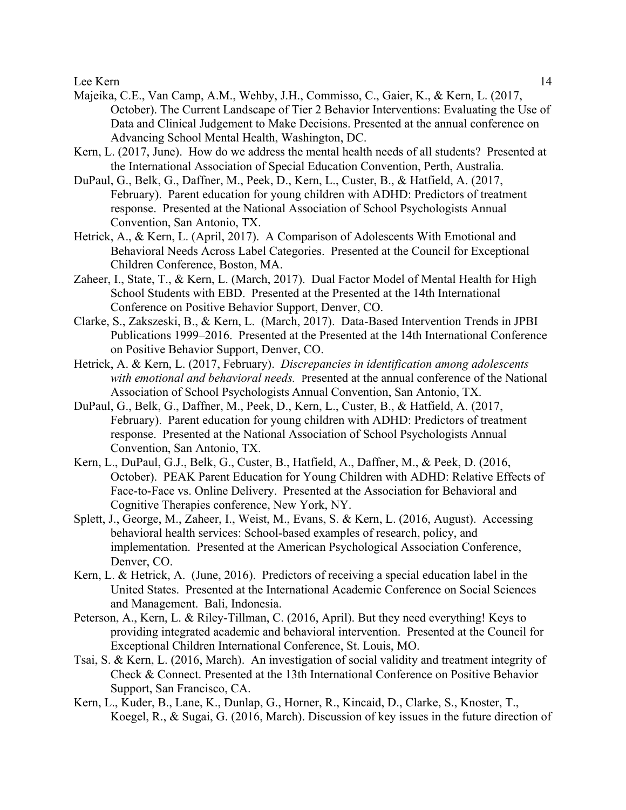- Majeika, C.E., Van Camp, A.M., Wehby, J.H., Commisso, C., Gaier, K., & Kern, L. (2017, October). The Current Landscape of Tier 2 Behavior Interventions: Evaluating the Use of Data and Clinical Judgement to Make Decisions. Presented at the annual conference on Advancing School Mental Health, Washington, DC.
- Kern, L. (2017, June). How do we address the mental health needs of all students? Presented at the International Association of Special Education Convention, Perth, Australia.
- DuPaul, G., Belk, G., Daffner, M., Peek, D., Kern, L., Custer, B., & Hatfield, A. (2017, February). Parent education for young children with ADHD: Predictors of treatment response. Presented at the National Association of School Psychologists Annual Convention, San Antonio, TX.
- Hetrick, A., & Kern, L. (April, 2017). A Comparison of Adolescents With Emotional and Behavioral Needs Across Label Categories. Presented at the Council for Exceptional Children Conference, Boston, MA.
- Zaheer, I., State, T., & Kern, L. (March, 2017). Dual Factor Model of Mental Health for High School Students with EBD. Presented at the Presented at the 14th International Conference on Positive Behavior Support, Denver, CO.
- Clarke, S., Zakszeski, B., & Kern, L. (March, 2017). Data-Based Intervention Trends in JPBI Publications 1999–2016. Presented at the Presented at the 14th International Conference on Positive Behavior Support, Denver, CO.
- Hetrick, A. & Kern, L. (2017, February). *Discrepancies in identification among adolescents with emotional and behavioral needs.* Presented at the annual conference of the National Association of School Psychologists Annual Convention, San Antonio, TX.
- DuPaul, G., Belk, G., Daffner, M., Peek, D., Kern, L., Custer, B., & Hatfield, A. (2017, February). Parent education for young children with ADHD: Predictors of treatment response. Presented at the National Association of School Psychologists Annual Convention, San Antonio, TX.
- Kern, L., DuPaul, G.J., Belk, G., Custer, B., Hatfield, A., Daffner, M., & Peek, D. (2016, October). PEAK Parent Education for Young Children with ADHD: Relative Effects of Face-to-Face vs. Online Delivery. Presented at the Association for Behavioral and Cognitive Therapies conference, New York, NY.
- Splett, J., George, M., Zaheer, I., Weist, M., Evans, S. & Kern, L. (2016, August). Accessing behavioral health services: School-based examples of research, policy, and implementation. Presented at the American Psychological Association Conference, Denver, CO.
- Kern, L. & Hetrick, A. (June, 2016). Predictors of receiving a special education label in the United States. Presented at the International Academic Conference on Social Sciences and Management. Bali, Indonesia.
- Peterson, A., Kern, L. & Riley-Tillman, C. (2016, April). But they need everything! Keys to providing integrated academic and behavioral intervention. Presented at the Council for Exceptional Children International Conference, St. Louis, MO.
- Tsai, S. & Kern, L. (2016, March). An investigation of social validity and treatment integrity of Check & Connect. Presented at the 13th International Conference on Positive Behavior Support, San Francisco, CA.
- Kern, L., Kuder, B., Lane, K., Dunlap, G., Horner, R., Kincaid, D., Clarke, S., Knoster, T., Koegel, R., & Sugai, G. (2016, March). Discussion of key issues in the future direction of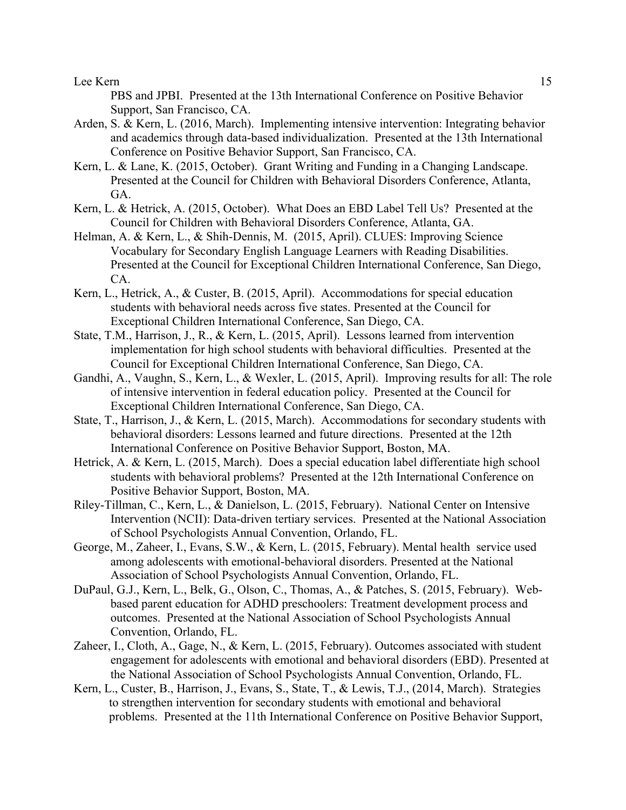PBS and JPBI. Presented at the 13th International Conference on Positive Behavior Support, San Francisco, CA.

- Arden, S. & Kern, L. (2016, March). Implementing intensive intervention: Integrating behavior and academics through data-based individualization. Presented at the 13th International Conference on Positive Behavior Support, San Francisco, CA.
- Kern, L. & Lane, K. (2015, October). Grant Writing and Funding in a Changing Landscape. Presented at the Council for Children with Behavioral Disorders Conference, Atlanta, GA.
- Kern, L. & Hetrick, A. (2015, October). What Does an EBD Label Tell Us? Presented at the Council for Children with Behavioral Disorders Conference, Atlanta, GA.
- Helman, A. & Kern, L., & Shih-Dennis, M. (2015, April). CLUES: Improving Science Vocabulary for Secondary English Language Learners with Reading Disabilities. Presented at the Council for Exceptional Children International Conference, San Diego, CA.
- Kern, L., Hetrick, A., & Custer, B. (2015, April). Accommodations for special education students with behavioral needs across five states. Presented at the Council for Exceptional Children International Conference, San Diego, CA.
- State, T.M., Harrison, J., R., & Kern, L. (2015, April). Lessons learned from intervention implementation for high school students with behavioral difficulties. Presented at the Council for Exceptional Children International Conference, San Diego, CA.
- Gandhi, A., Vaughn, S., Kern, L., & Wexler, L. (2015, April). Improving results for all: The role of intensive intervention in federal education policy. Presented at the Council for Exceptional Children International Conference, San Diego, CA.
- State, T., Harrison, J., & Kern, L. (2015, March). Accommodations for secondary students with behavioral disorders: Lessons learned and future directions. Presented at the 12th International Conference on Positive Behavior Support, Boston, MA.
- Hetrick, A. & Kern, L. (2015, March). Does a special education label differentiate high school students with behavioral problems? Presented at the 12th International Conference on Positive Behavior Support, Boston, MA.
- Riley-Tillman, C., Kern, L., & Danielson, L. (2015, February). National Center on Intensive Intervention (NCII): Data-driven tertiary services. Presented at the National Association of School Psychologists Annual Convention, Orlando, FL.
- George, M., Zaheer, I., Evans, S.W., & Kern, L. (2015, February). Mental health service used among adolescents with emotional-behavioral disorders. Presented at the National Association of School Psychologists Annual Convention, Orlando, FL.
- DuPaul, G.J., Kern, L., Belk, G., Olson, C., Thomas, A., & Patches, S. (2015, February). Webbased parent education for ADHD preschoolers: Treatment development process and outcomes. Presented at the National Association of School Psychologists Annual Convention, Orlando, FL.
- Zaheer, I., Cloth, A., Gage, N., & Kern, L. (2015, February). Outcomes associated with student engagement for adolescents with emotional and behavioral disorders (EBD). Presented at the National Association of School Psychologists Annual Convention, Orlando, FL.
- Kern, L., Custer, B., Harrison, J., Evans, S., State, T., & Lewis, T.J., (2014, March). Strategies to strengthen intervention for secondary students with emotional and behavioral problems. Presented at the 11th International Conference on Positive Behavior Support,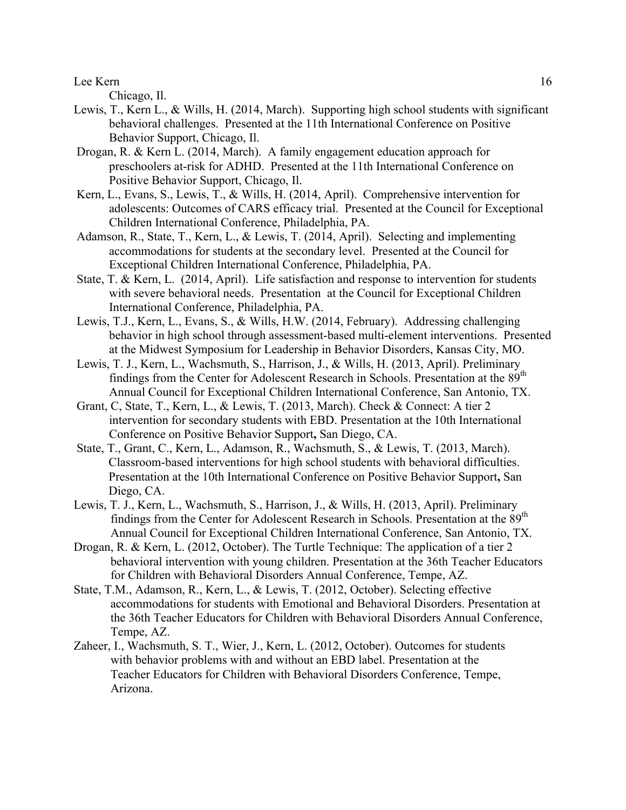Chicago, Il.

- Lewis, T., Kern L., & Wills, H. (2014, March). Supporting high school students with significant behavioral challenges. Presented at the 11th International Conference on Positive Behavior Support, Chicago, Il.
- Drogan, R. & Kern L. (2014, March). A family engagement education approach for preschoolers at-risk for ADHD. Presented at the 11th International Conference on Positive Behavior Support, Chicago, Il.
- Kern, L., Evans, S., Lewis, T., & Wills, H. (2014, April). Comprehensive intervention for adolescents: Outcomes of CARS efficacy trial. Presented at the Council for Exceptional Children International Conference, Philadelphia, PA.
- Adamson, R., State, T., Kern, L., & Lewis, T. (2014, April). Selecting and implementing accommodations for students at the secondary level. Presented at the Council for Exceptional Children International Conference, Philadelphia, PA.
- State, T. & Kern, L. (2014, April). Life satisfaction and response to intervention for students with severe behavioral needs. Presentation at the Council for Exceptional Children International Conference, Philadelphia, PA.
- Lewis, T.J., Kern, L., Evans, S., & Wills, H.W. (2014, February). Addressing challenging behavior in high school through assessment-based multi-element interventions. Presented at the Midwest Symposium for Leadership in Behavior Disorders, Kansas City, MO.
- Lewis, T. J., Kern, L., Wachsmuth, S., Harrison, J., & Wills, H. (2013, April). Preliminary findings from the Center for Adolescent Research in Schools. Presentation at the 89<sup>th</sup> Annual Council for Exceptional Children International Conference, San Antonio, TX.
- Grant, C, State, T., Kern, L., & Lewis, T. (2013, March). Check & Connect: A tier 2 intervention for secondary students with EBD. Presentation at the 10th International Conference on Positive Behavior Support**,** San Diego, CA.
- State, T., Grant, C., Kern, L., Adamson, R., Wachsmuth, S., & Lewis, T. (2013, March). Classroom-based interventions for high school students with behavioral difficulties. Presentation at the 10th International Conference on Positive Behavior Support**,** San Diego, CA.
- Lewis, T. J., Kern, L., Wachsmuth, S., Harrison, J., & Wills, H. (2013, April). Preliminary findings from the Center for Adolescent Research in Schools. Presentation at the 89<sup>th</sup> Annual Council for Exceptional Children International Conference, San Antonio, TX.
- Drogan, R. & Kern, L. (2012, October). The Turtle Technique: The application of a tier 2 behavioral intervention with young children. Presentation at the 36th Teacher Educators for Children with Behavioral Disorders Annual Conference, Tempe, AZ.
- State, T.M., Adamson, R., Kern, L., & Lewis, T. (2012, October). Selecting effective accommodations for students with Emotional and Behavioral Disorders. Presentation at the 36th Teacher Educators for Children with Behavioral Disorders Annual Conference, Tempe, AZ.
- Zaheer, I., Wachsmuth, S. T., Wier, J., Kern, L. (2012, October). Outcomes for students with behavior problems with and without an EBD label. Presentation at the Teacher Educators for Children with Behavioral Disorders Conference, Tempe, Arizona.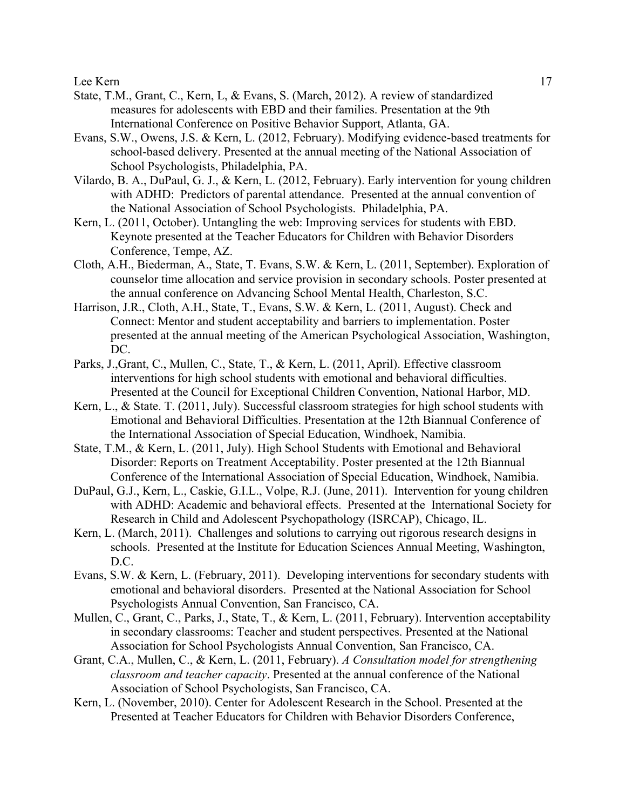- State, T.M., Grant, C., Kern, L, & Evans, S. (March, 2012). A review of standardized measures for adolescents with EBD and their families. Presentation at the 9th International Conference on Positive Behavior Support, Atlanta, GA.
- Evans, S.W., Owens, J.S. & Kern, L. (2012, February). Modifying evidence-based treatments for school-based delivery. Presented at the annual meeting of the National Association of School Psychologists, Philadelphia, PA.
- Vilardo, B. A., DuPaul, G. J., & Kern, L. (2012, February). Early intervention for young children with ADHD: Predictors of parental attendance. Presented at the annual convention of the National Association of School Psychologists. Philadelphia, PA.
- Kern, L. (2011, October). Untangling the web: Improving services for students with EBD. Keynote presented at the Teacher Educators for Children with Behavior Disorders Conference, Tempe, AZ.
- Cloth, A.H., Biederman, A., State, T. Evans, S.W. & Kern, L. (2011, September). Exploration of counselor time allocation and service provision in secondary schools. Poster presented at the annual conference on Advancing School Mental Health, Charleston, S.C.
- Harrison, J.R., Cloth, A.H., State, T., Evans, S.W. & Kern, L. (2011, August). Check and Connect: Mentor and student acceptability and barriers to implementation. Poster presented at the annual meeting of the American Psychological Association, Washington, DC.
- Parks, J.,Grant, C., Mullen, C., State, T., & Kern, L. (2011, April). Effective classroom interventions for high school students with emotional and behavioral difficulties. Presented at the Council for Exceptional Children Convention, National Harbor, MD.
- Kern, L., & State. T. (2011, July). Successful classroom strategies for high school students with Emotional and Behavioral Difficulties. Presentation at the 12th Biannual Conference of the International Association of Special Education, Windhoek, Namibia.
- State, T.M., & Kern, L. (2011, July). High School Students with Emotional and Behavioral Disorder: Reports on Treatment Acceptability. Poster presented at the 12th Biannual Conference of the International Association of Special Education, Windhoek, Namibia.
- DuPaul, G.J., Kern, L., Caskie, G.I.L., Volpe, R.J. (June, 2011). Intervention for young children with ADHD: Academic and behavioral effects. Presented at the International Society for Research in Child and Adolescent Psychopathology (ISRCAP), Chicago, IL.
- Kern, L. (March, 2011). Challenges and solutions to carrying out rigorous research designs in schools. Presented at the Institute for Education Sciences Annual Meeting, Washington, D.C.
- Evans, S.W. & Kern, L. (February, 2011). Developing interventions for secondary students with emotional and behavioral disorders. Presented at the National Association for School Psychologists Annual Convention, San Francisco, CA.
- Mullen, C., Grant, C., Parks, J., State, T., & Kern, L. (2011, February). Intervention acceptability in secondary classrooms: Teacher and student perspectives. Presented at the National Association for School Psychologists Annual Convention, San Francisco, CA.
- Grant, C.A., Mullen, C., & Kern, L. (2011, February). *A Consultation model for strengthening classroom and teacher capacity*. Presented at the annual conference of the National Association of School Psychologists, San Francisco, CA.
- Kern, L. (November, 2010). Center for Adolescent Research in the School. Presented at the Presented at Teacher Educators for Children with Behavior Disorders Conference,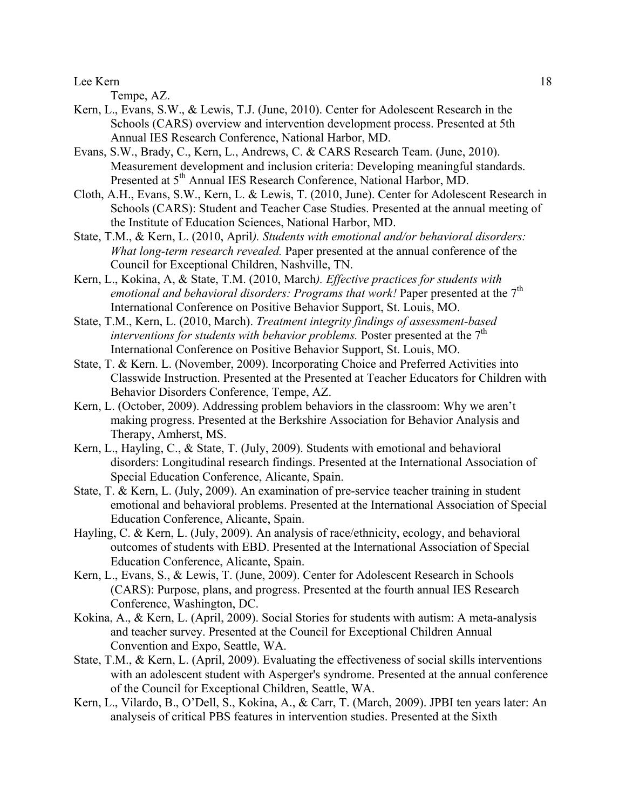Tempe, AZ.

- Kern, L., Evans, S.W., & Lewis, T.J. (June, 2010). Center for Adolescent Research in the Schools (CARS) overview and intervention development process. Presented at 5th Annual IES Research Conference, National Harbor, MD.
- Evans, S.W., Brady, C., Kern, L., Andrews, C. & CARS Research Team. (June, 2010). Measurement development and inclusion criteria: Developing meaningful standards. Presented at 5<sup>th</sup> Annual IES Research Conference, National Harbor, MD.
- Cloth, A.H., Evans, S.W., Kern, L. & Lewis, T. (2010, June). Center for Adolescent Research in Schools (CARS): Student and Teacher Case Studies. Presented at the annual meeting of the Institute of Education Sciences, National Harbor, MD.
- State, T.M., & Kern, L. (2010, April*). Students with emotional and/or behavioral disorders: What long-term research revealed.* Paper presented at the annual conference of the Council for Exceptional Children, Nashville, TN.
- Kern, L., Kokina, A, & State, T.M. (2010, March*). Effective practices for students with*  emotional and behavioral disorders: Programs that work! Paper presented at the 7<sup>th</sup> International Conference on Positive Behavior Support, St. Louis, MO.
- State, T.M., Kern, L. (2010, March). *Treatment integrity findings of assessment-based interventions for students with behavior problems.* Poster presented at the 7<sup>th</sup> International Conference on Positive Behavior Support, St. Louis, MO.
- State, T. & Kern. L. (November, 2009). Incorporating Choice and Preferred Activities into Classwide Instruction. Presented at the Presented at Teacher Educators for Children with Behavior Disorders Conference, Tempe, AZ.
- Kern, L. (October, 2009). Addressing problem behaviors in the classroom: Why we aren't making progress. Presented at the Berkshire Association for Behavior Analysis and Therapy, Amherst, MS.
- Kern, L., Hayling, C., & State, T. (July, 2009). Students with emotional and behavioral disorders: Longitudinal research findings. Presented at the International Association of Special Education Conference, Alicante, Spain.
- State, T. & Kern, L. (July, 2009). An examination of pre-service teacher training in student emotional and behavioral problems. Presented at the International Association of Special Education Conference, Alicante, Spain.
- Hayling, C. & Kern, L. (July, 2009). An analysis of race/ethnicity, ecology, and behavioral outcomes of students with EBD. Presented at the International Association of Special Education Conference, Alicante, Spain.
- Kern, L., Evans, S., & Lewis, T. (June, 2009). Center for Adolescent Research in Schools (CARS): Purpose, plans, and progress. Presented at the fourth annual IES Research Conference, Washington, DC.
- Kokina, A., & Kern, L. (April, 2009). Social Stories for students with autism: A meta-analysis and teacher survey. Presented at the Council for Exceptional Children Annual Convention and Expo, Seattle, WA.
- State, T.M., & Kern, L. (April, 2009). Evaluating the effectiveness of social skills interventions with an adolescent student with Asperger's syndrome. Presented at the annual conference of the Council for Exceptional Children, Seattle, WA.
- Kern, L., Vilardo, B., O'Dell, S., Kokina, A., & Carr, T. (March, 2009). JPBI ten years later: An analyseis of critical PBS features in intervention studies. Presented at the Sixth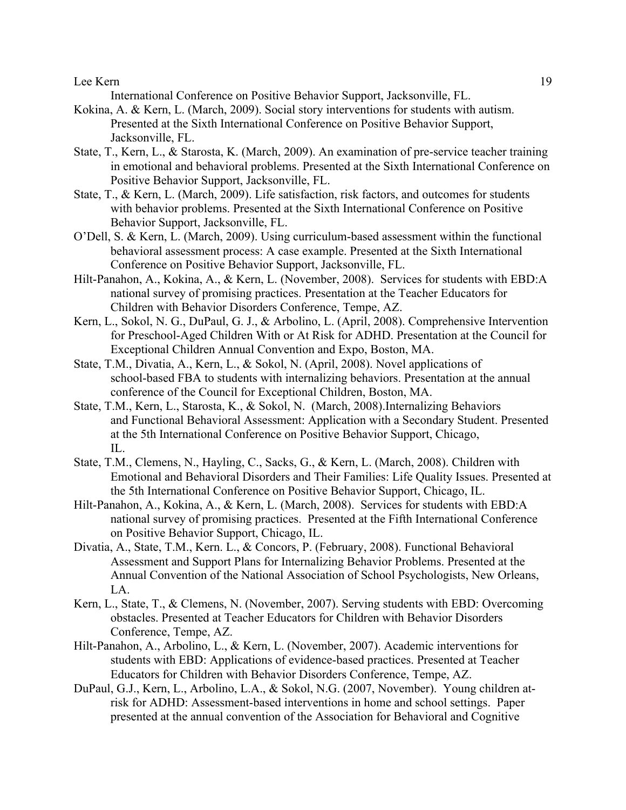International Conference on Positive Behavior Support, Jacksonville, FL.

- Kokina, A. & Kern, L. (March, 2009). Social story interventions for students with autism. Presented at the Sixth International Conference on Positive Behavior Support, Jacksonville, FL.
- State, T., Kern, L., & Starosta, K. (March, 2009). An examination of pre-service teacher training in emotional and behavioral problems. Presented at the Sixth International Conference on Positive Behavior Support, Jacksonville, FL.
- State, T., & Kern, L. (March, 2009). Life satisfaction, risk factors, and outcomes for students with behavior problems. Presented at the Sixth International Conference on Positive Behavior Support, Jacksonville, FL.
- O'Dell, S. & Kern, L. (March, 2009). Using curriculum-based assessment within the functional behavioral assessment process: A case example. Presented at the Sixth International Conference on Positive Behavior Support, Jacksonville, FL.
- Hilt-Panahon, A., Kokina, A., & Kern, L. (November, 2008). Services for students with EBD:A national survey of promising practices. Presentation at the Teacher Educators for Children with Behavior Disorders Conference, Tempe, AZ.
- Kern, L., Sokol, N. G., DuPaul, G. J., & Arbolino, L. (April, 2008). Comprehensive Intervention for Preschool-Aged Children With or At Risk for ADHD. Presentation at the Council for Exceptional Children Annual Convention and Expo, Boston, MA.
- State, T.M., Divatia, A., Kern, L., & Sokol, N. (April, 2008). Novel applications of school-based FBA to students with internalizing behaviors. Presentation at the annual conference of the Council for Exceptional Children, Boston, MA.
- State, T.M., Kern, L., Starosta, K., & Sokol, N. (March, 2008).Internalizing Behaviors and Functional Behavioral Assessment: Application with a Secondary Student. Presented at the 5th International Conference on Positive Behavior Support, Chicago, IL.
- State, T.M., Clemens, N., Hayling, C., Sacks, G., & Kern, L. (March, 2008). Children with Emotional and Behavioral Disorders and Their Families: Life Quality Issues. Presented at the 5th International Conference on Positive Behavior Support, Chicago, IL.
- Hilt-Panahon, A., Kokina, A., & Kern, L. (March, 2008). Services for students with EBD:A national survey of promising practices. Presented at the Fifth International Conference on Positive Behavior Support, Chicago, IL.
- Divatia, A., State, T.M., Kern. L., & Concors, P. (February, 2008). Functional Behavioral Assessment and Support Plans for Internalizing Behavior Problems. Presented at the Annual Convention of the National Association of School Psychologists, New Orleans, LA.
- Kern, L., State, T., & Clemens, N. (November, 2007). Serving students with EBD: Overcoming obstacles. Presented at Teacher Educators for Children with Behavior Disorders Conference, Tempe, AZ.
- Hilt-Panahon, A., Arbolino, L., & Kern, L. (November, 2007). Academic interventions for students with EBD: Applications of evidence-based practices. Presented at Teacher Educators for Children with Behavior Disorders Conference, Tempe, AZ.
- DuPaul, G.J., Kern, L., Arbolino, L.A., & Sokol, N.G. (2007, November). Young children atrisk for ADHD: Assessment-based interventions in home and school settings. Paper presented at the annual convention of the Association for Behavioral and Cognitive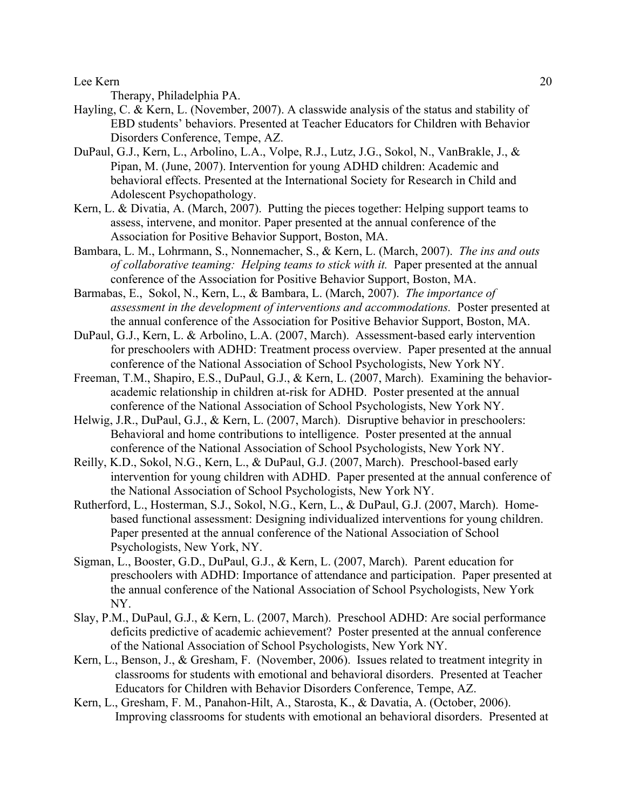Therapy, Philadelphia PA.

- Hayling, C. & Kern, L. (November, 2007). A classwide analysis of the status and stability of EBD students' behaviors. Presented at Teacher Educators for Children with Behavior Disorders Conference, Tempe, AZ.
- DuPaul, G.J., Kern, L., Arbolino, L.A., Volpe, R.J., Lutz, J.G., Sokol, N., VanBrakle, J., & Pipan, M. (June, 2007). Intervention for young ADHD children: Academic and behavioral effects. Presented at the International Society for Research in Child and Adolescent Psychopathology.
- Kern, L. & Divatia, A. (March, 2007). Putting the pieces together: Helping support teams to assess, intervene, and monitor. Paper presented at the annual conference of the Association for Positive Behavior Support, Boston, MA.
- Bambara, L. M., Lohrmann, S., Nonnemacher, S., & Kern, L. (March, 2007). *The ins and outs of collaborative teaming: Helping teams to stick with it.* Paper presented at the annual conference of the Association for Positive Behavior Support, Boston, MA.
- Barmabas, E., Sokol, N., Kern, L., & Bambara, L. (March, 2007). *The importance of assessment in the development of interventions and accommodations.* Poster presented at the annual conference of the Association for Positive Behavior Support, Boston, MA.
- DuPaul, G.J., Kern, L. & Arbolino, L.A. (2007, March). Assessment-based early intervention for preschoolers with ADHD: Treatment process overview. Paper presented at the annual conference of the National Association of School Psychologists, New York NY.
- Freeman, T.M., Shapiro, E.S., DuPaul, G.J., & Kern, L. (2007, March). Examining the behavioracademic relationship in children at-risk for ADHD. Poster presented at the annual conference of the National Association of School Psychologists, New York NY.
- Helwig, J.R., DuPaul, G.J., & Kern, L. (2007, March). Disruptive behavior in preschoolers: Behavioral and home contributions to intelligence. Poster presented at the annual conference of the National Association of School Psychologists, New York NY.
- Reilly, K.D., Sokol, N.G., Kern, L., & DuPaul, G.J. (2007, March). Preschool-based early intervention for young children with ADHD. Paper presented at the annual conference of the National Association of School Psychologists, New York NY.
- Rutherford, L., Hosterman, S.J., Sokol, N.G., Kern, L., & DuPaul, G.J. (2007, March). Homebased functional assessment: Designing individualized interventions for young children. Paper presented at the annual conference of the National Association of School Psychologists, New York, NY.
- Sigman, L., Booster, G.D., DuPaul, G.J., & Kern, L. (2007, March). Parent education for preschoolers with ADHD: Importance of attendance and participation. Paper presented at the annual conference of the National Association of School Psychologists, New York NY.
- Slay, P.M., DuPaul, G.J., & Kern, L. (2007, March). Preschool ADHD: Are social performance deficits predictive of academic achievement? Poster presented at the annual conference of the National Association of School Psychologists, New York NY.
- Kern, L., Benson, J., & Gresham, F. (November, 2006). Issues related to treatment integrity in classrooms for students with emotional and behavioral disorders. Presented at Teacher Educators for Children with Behavior Disorders Conference, Tempe, AZ.
- Kern, L., Gresham, F. M., Panahon-Hilt, A., Starosta, K., & Davatia, A. (October, 2006). Improving classrooms for students with emotional an behavioral disorders. Presented at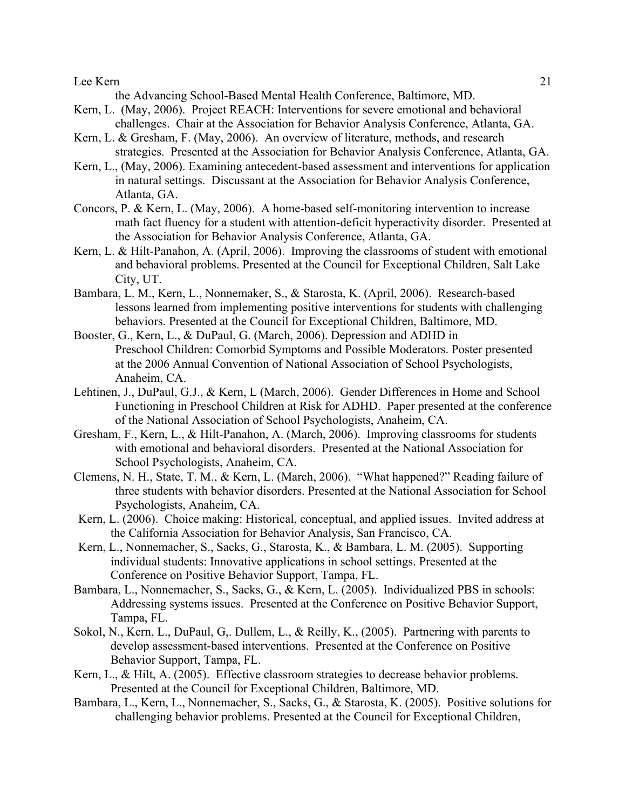the Advancing School-Based Mental Health Conference, Baltimore, MD.

- Kern, L. (May, 2006). Project REACH: Interventions for severe emotional and behavioral challenges. Chair at the Association for Behavior Analysis Conference, Atlanta, GA.
- Kern, L. & Gresham, F. (May, 2006). An overview of literature, methods, and research strategies. Presented at the Association for Behavior Analysis Conference, Atlanta, GA.
- Kern, L., (May, 2006). Examining antecedent-based assessment and interventions for application in natural settings. Discussant at the Association for Behavior Analysis Conference, Atlanta, GA.
- Concors, P. & Kern, L. (May, 2006). A home-based self-monitoring intervention to increase math fact fluency for a student with attention-deficit hyperactivity disorder. Presented at the Association for Behavior Analysis Conference, Atlanta, GA.
- Kern, L. & Hilt-Panahon, A. (April, 2006). Improving the classrooms of student with emotional and behavioral problems. Presented at the Council for Exceptional Children, Salt Lake City, UT.
- Bambara, L. M., Kern, L., Nonnemaker, S., & Starosta, K. (April, 2006). Research-based lessons learned from implementing positive interventions for students with challenging behaviors. Presented at the Council for Exceptional Children, Baltimore, MD.
- Booster, G., Kern, L., & DuPaul, G. (March, 2006). Depression and ADHD in Preschool Children: Comorbid Symptoms and Possible Moderators. Poster presented at the 2006 Annual Convention of National Association of School Psychologists, Anaheim, CA.
- Lehtinen, J., DuPaul, G.J., & Kern, L (March, 2006). Gender Differences in Home and School Functioning in Preschool Children at Risk for ADHD. Paper presented at the conference of the National Association of School Psychologists, Anaheim, CA.
- Gresham, F., Kern, L., & Hilt-Panahon, A. (March, 2006). Improving classrooms for students with emotional and behavioral disorders. Presented at the National Association for School Psychologists, Anaheim, CA.
- Clemens, N. H., State, T. M., & Kern, L. (March, 2006). "What happened?" Reading failure of three students with behavior disorders. Presented at the National Association for School Psychologists, Anaheim, CA.
- Kern, L. (2006). Choice making: Historical, conceptual, and applied issues. Invited address at the California Association for Behavior Analysis, San Francisco, CA.
- Kern, L., Nonnemacher, S., Sacks, G., Starosta, K., & Bambara, L. M. (2005). Supporting individual students: Innovative applications in school settings. Presented at the Conference on Positive Behavior Support, Tampa, FL.
- Bambara, L., Nonnemacher, S., Sacks, G., & Kern, L. (2005). Individualized PBS in schools: Addressing systems issues. Presented at the Conference on Positive Behavior Support, Tampa, FL.
- Sokol, N., Kern, L., DuPaul, G,. Dullem, L., & Reilly, K., (2005). Partnering with parents to develop assessment-based interventions. Presented at the Conference on Positive Behavior Support, Tampa, FL.
- Kern, L., & Hilt, A. (2005). Effective classroom strategies to decrease behavior problems. Presented at the Council for Exceptional Children, Baltimore, MD.
- Bambara, L., Kern, L., Nonnemacher, S., Sacks, G., & Starosta, K. (2005). Positive solutions for challenging behavior problems. Presented at the Council for Exceptional Children,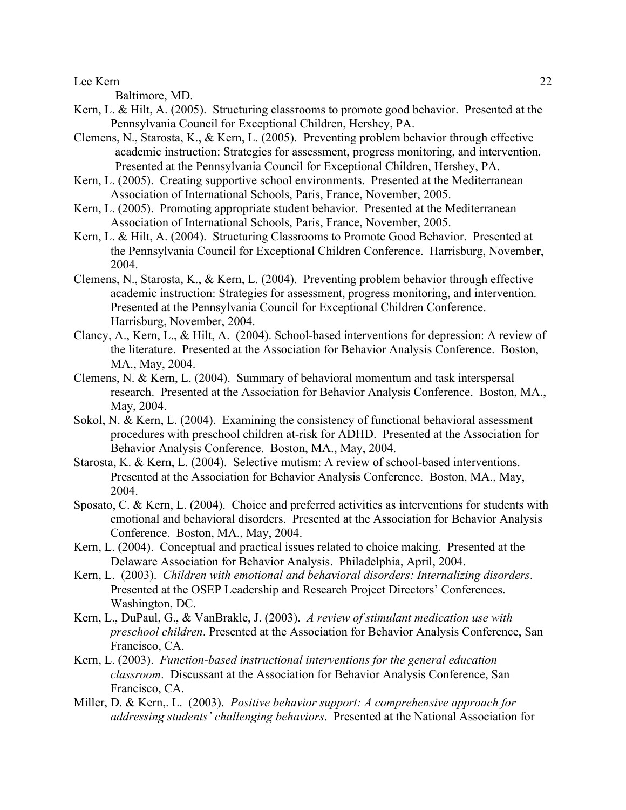Baltimore, MD.

- Kern, L. & Hilt, A. (2005). Structuring classrooms to promote good behavior. Presented at the Pennsylvania Council for Exceptional Children, Hershey, PA.
- Clemens, N., Starosta, K., & Kern, L. (2005). Preventing problem behavior through effective academic instruction: Strategies for assessment, progress monitoring, and intervention. Presented at the Pennsylvania Council for Exceptional Children, Hershey, PA.
- Kern, L. (2005). Creating supportive school environments. Presented at the Mediterranean Association of International Schools, Paris, France, November, 2005.
- Kern, L. (2005). Promoting appropriate student behavior. Presented at the Mediterranean Association of International Schools, Paris, France, November, 2005.
- Kern, L. & Hilt, A. (2004). Structuring Classrooms to Promote Good Behavior. Presented at the Pennsylvania Council for Exceptional Children Conference. Harrisburg, November, 2004.
- Clemens, N., Starosta, K., & Kern, L. (2004). Preventing problem behavior through effective academic instruction: Strategies for assessment, progress monitoring, and intervention. Presented at the Pennsylvania Council for Exceptional Children Conference. Harrisburg, November, 2004.
- Clancy, A., Kern, L., & Hilt, A. (2004). School-based interventions for depression: A review of the literature. Presented at the Association for Behavior Analysis Conference. Boston, MA., May, 2004.
- Clemens, N. & Kern, L. (2004). Summary of behavioral momentum and task interspersal research. Presented at the Association for Behavior Analysis Conference. Boston, MA., May, 2004.
- Sokol, N. & Kern, L. (2004). Examining the consistency of functional behavioral assessment procedures with preschool children at-risk for ADHD. Presented at the Association for Behavior Analysis Conference. Boston, MA., May, 2004.
- Starosta, K. & Kern, L. (2004). Selective mutism: A review of school-based interventions. Presented at the Association for Behavior Analysis Conference. Boston, MA., May, 2004.
- Sposato, C. & Kern, L. (2004). Choice and preferred activities as interventions for students with emotional and behavioral disorders. Presented at the Association for Behavior Analysis Conference. Boston, MA., May, 2004.
- Kern, L. (2004). Conceptual and practical issues related to choice making. Presented at the Delaware Association for Behavior Analysis. Philadelphia, April, 2004.
- Kern, L. (2003). *Children with emotional and behavioral disorders: Internalizing disorders*. Presented at the OSEP Leadership and Research Project Directors' Conferences. Washington, DC.
- Kern, L., DuPaul, G., & VanBrakle, J. (2003). *A review of stimulant medication use with preschool children*. Presented at the Association for Behavior Analysis Conference, San Francisco, CA.
- Kern, L. (2003). *Function-based instructional interventions for the general education classroom*. Discussant at the Association for Behavior Analysis Conference, San Francisco, CA.
- Miller, D. & Kern,. L. (2003). *Positive behavior support: A comprehensive approach for addressing students' challenging behaviors*. Presented at the National Association for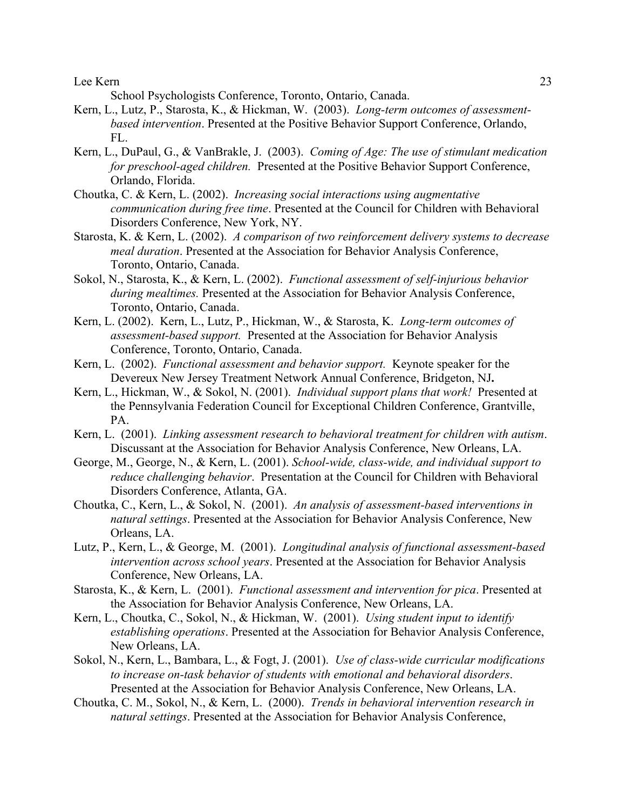School Psychologists Conference, Toronto, Ontario, Canada.

- Kern, L., Lutz, P., Starosta, K., & Hickman, W. (2003). *Long-term outcomes of assessmentbased intervention*. Presented at the Positive Behavior Support Conference, Orlando, FL.
- Kern, L., DuPaul, G., & VanBrakle, J. (2003). *Coming of Age: The use of stimulant medication for preschool-aged children.* Presented at the Positive Behavior Support Conference, Orlando, Florida.
- Choutka, C. & Kern, L. (2002). *Increasing social interactions using augmentative communication during free time*. Presented at the Council for Children with Behavioral Disorders Conference, New York, NY.
- Starosta, K. & Kern, L. (2002). *A comparison of two reinforcement delivery systems to decrease meal duration*. Presented at the Association for Behavior Analysis Conference, Toronto, Ontario, Canada.
- Sokol, N., Starosta, K., & Kern, L. (2002). *Functional assessment of self-injurious behavior during mealtimes.* Presented at the Association for Behavior Analysis Conference, Toronto, Ontario, Canada.
- Kern, L. (2002). Kern, L., Lutz, P., Hickman, W., & Starosta, K. *Long-term outcomes of assessment-based support.* Presented at the Association for Behavior Analysis Conference, Toronto, Ontario, Canada.
- Kern, L. (2002). *Functional assessment and behavior support.* Keynote speaker for the Devereux New Jersey Treatment Network Annual Conference, Bridgeton, NJ**.**
- Kern, L., Hickman, W., & Sokol, N. (2001). *Individual support plans that work!* Presented at the Pennsylvania Federation Council for Exceptional Children Conference, Grantville, PA.
- Kern, L. (2001). *Linking assessment research to behavioral treatment for children with autism*. Discussant at the Association for Behavior Analysis Conference, New Orleans, LA.
- George, M., George, N., & Kern, L. (2001). *School-wide, class-wide, and individual support to reduce challenging behavior*. Presentation at the Council for Children with Behavioral Disorders Conference, Atlanta, GA.
- Choutka, C., Kern, L., & Sokol, N. (2001). *An analysis of assessment-based interventions in natural settings*. Presented at the Association for Behavior Analysis Conference, New Orleans, LA.
- Lutz, P., Kern, L., & George, M. (2001). *Longitudinal analysis of functional assessment-based intervention across school years*. Presented at the Association for Behavior Analysis Conference, New Orleans, LA.
- Starosta, K., & Kern, L. (2001). *Functional assessment and intervention for pica*. Presented at the Association for Behavior Analysis Conference, New Orleans, LA.
- Kern, L., Choutka, C., Sokol, N., & Hickman, W. (2001). *Using student input to identify establishing operations*. Presented at the Association for Behavior Analysis Conference, New Orleans, LA.
- Sokol, N., Kern, L., Bambara, L., & Fogt, J. (2001). *Use of class-wide curricular modifications to increase on-task behavior of students with emotional and behavioral disorders*. Presented at the Association for Behavior Analysis Conference, New Orleans, LA.
- Choutka, C. M., Sokol, N., & Kern, L. (2000). *Trends in behavioral intervention research in natural settings*. Presented at the Association for Behavior Analysis Conference,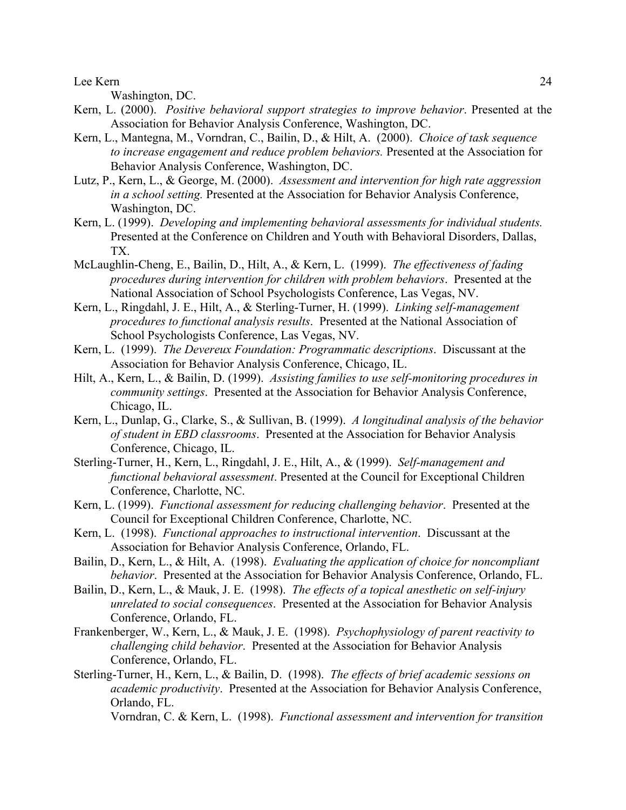Washington, DC.

- Kern, L. (2000). *Positive behavioral support strategies to improve behavior*. Presented at the Association for Behavior Analysis Conference, Washington, DC.
- Kern, L., Mantegna, M., Vorndran, C., Bailin, D., & Hilt, A. (2000). *Choice of task sequence to increase engagement and reduce problem behaviors.* Presented at the Association for Behavior Analysis Conference, Washington, DC.
- Lutz, P., Kern, L., & George, M. (2000). *Assessment and intervention for high rate aggression in a school setting.* Presented at the Association for Behavior Analysis Conference, Washington, DC.
- Kern, L. (1999). *Developing and implementing behavioral assessments for individual students.*  Presented at the Conference on Children and Youth with Behavioral Disorders, Dallas, TX.
- McLaughlin-Cheng, E., Bailin, D., Hilt, A., & Kern, L. (1999). *The effectiveness of fading procedures during intervention for children with problem behaviors*. Presented at the National Association of School Psychologists Conference, Las Vegas, NV.
- Kern, L., Ringdahl, J. E., Hilt, A., & Sterling-Turner, H. (1999). *Linking self-management procedures to functional analysis results*. Presented at the National Association of School Psychologists Conference, Las Vegas, NV.
- Kern, L. (1999). *The Devereux Foundation: Programmatic descriptions*. Discussant at the Association for Behavior Analysis Conference, Chicago, IL.
- Hilt, A., Kern, L., & Bailin, D. (1999). *Assisting families to use self-monitoring procedures in community settings*. Presented at the Association for Behavior Analysis Conference, Chicago, IL.
- Kern, L., Dunlap, G., Clarke, S., & Sullivan, B. (1999). *A longitudinal analysis of the behavior of student in EBD classrooms*. Presented at the Association for Behavior Analysis Conference, Chicago, IL.
- Sterling-Turner, H., Kern, L., Ringdahl, J. E., Hilt, A., & (1999). *Self-management and functional behavioral assessment*. Presented at the Council for Exceptional Children Conference, Charlotte, NC.
- Kern, L. (1999). *Functional assessment for reducing challenging behavior*. Presented at the Council for Exceptional Children Conference, Charlotte, NC.
- Kern, L. (1998). *Functional approaches to instructional intervention*. Discussant at the Association for Behavior Analysis Conference, Orlando, FL.
- Bailin, D., Kern, L., & Hilt, A. (1998). *Evaluating the application of choice for noncompliant behavior*. Presented at the Association for Behavior Analysis Conference, Orlando, FL.
- Bailin, D., Kern, L., & Mauk, J. E. (1998). *The effects of a topical anesthetic on self-injury unrelated to social consequences*. Presented at the Association for Behavior Analysis Conference, Orlando, FL.
- Frankenberger, W., Kern, L., & Mauk, J. E. (1998). *Psychophysiology of parent reactivity to challenging child behavior*. Presented at the Association for Behavior Analysis Conference, Orlando, FL.
- Sterling-Turner, H., Kern, L., & Bailin, D. (1998). *The effects of brief academic sessions on academic productivity*. Presented at the Association for Behavior Analysis Conference, Orlando, FL.

Vorndran, C. & Kern, L. (1998). *Functional assessment and intervention for transition*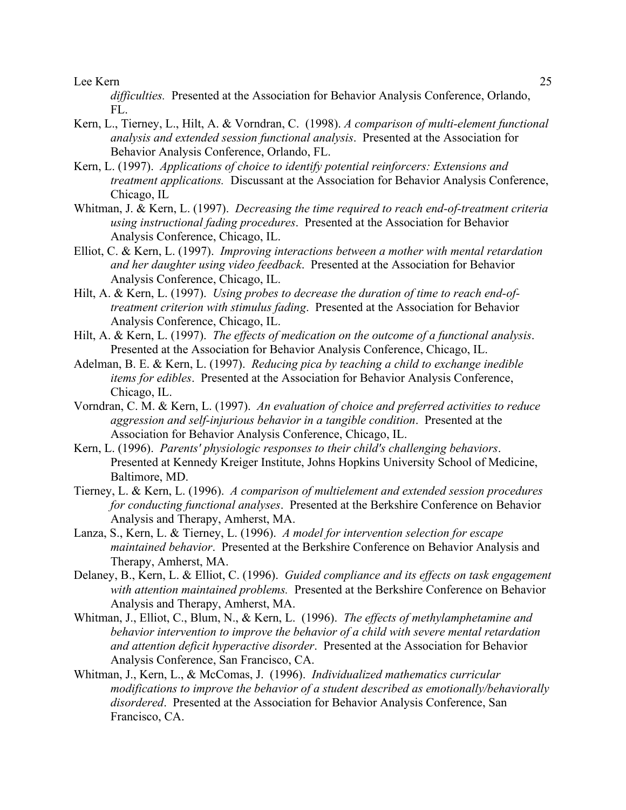*difficulties.* Presented at the Association for Behavior Analysis Conference, Orlando, FL.

- Kern, L., Tierney, L., Hilt, A. & Vorndran, C. (1998). *A comparison of multi-element functional analysis and extended session functional analysis*. Presented at the Association for Behavior Analysis Conference, Orlando, FL.
- Kern, L. (1997). *Applications of choice to identify potential reinforcers: Extensions and treatment applications.* Discussant at the Association for Behavior Analysis Conference, Chicago, IL
- Whitman, J. & Kern, L. (1997). *Decreasing the time required to reach end-of-treatment criteria using instructional fading procedures*. Presented at the Association for Behavior Analysis Conference, Chicago, IL.
- Elliot, C. & Kern, L. (1997). *Improving interactions between a mother with mental retardation and her daughter using video feedback*. Presented at the Association for Behavior Analysis Conference, Chicago, IL.
- Hilt, A. & Kern, L. (1997). *Using probes to decrease the duration of time to reach end-oftreatment criterion with stimulus fading*. Presented at the Association for Behavior Analysis Conference, Chicago, IL.
- Hilt, A. & Kern, L. (1997). *The effects of medication on the outcome of a functional analysis*. Presented at the Association for Behavior Analysis Conference, Chicago, IL.
- Adelman, B. E. & Kern, L. (1997). *Reducing pica by teaching a child to exchange inedible items for edibles*. Presented at the Association for Behavior Analysis Conference, Chicago, IL.
- Vorndran, C. M. & Kern, L. (1997). *An evaluation of choice and preferred activities to reduce aggression and self-injurious behavior in a tangible condition*. Presented at the Association for Behavior Analysis Conference, Chicago, IL.
- Kern, L. (1996). *Parents' physiologic responses to their child's challenging behaviors*. Presented at Kennedy Kreiger Institute, Johns Hopkins University School of Medicine, Baltimore, MD.
- Tierney, L. & Kern, L. (1996). *A comparison of multielement and extended session procedures for conducting functional analyses*. Presented at the Berkshire Conference on Behavior Analysis and Therapy, Amherst, MA.
- Lanza, S., Kern, L. & Tierney, L. (1996). *A model for intervention selection for escape maintained behavior*. Presented at the Berkshire Conference on Behavior Analysis and Therapy, Amherst, MA.
- Delaney, B., Kern, L. & Elliot, C. (1996). *Guided compliance and its effects on task engagement with attention maintained problems.* Presented at the Berkshire Conference on Behavior Analysis and Therapy, Amherst, MA.
- Whitman, J., Elliot, C., Blum, N., & Kern, L. (1996). *The effects of methylamphetamine and behavior intervention to improve the behavior of a child with severe mental retardation and attention deficit hyperactive disorder*. Presented at the Association for Behavior Analysis Conference, San Francisco, CA.
- Whitman, J., Kern, L., & McComas, J. (1996). *Individualized mathematics curricular modifications to improve the behavior of a student described as emotionally/behaviorally disordered*. Presented at the Association for Behavior Analysis Conference, San Francisco, CA.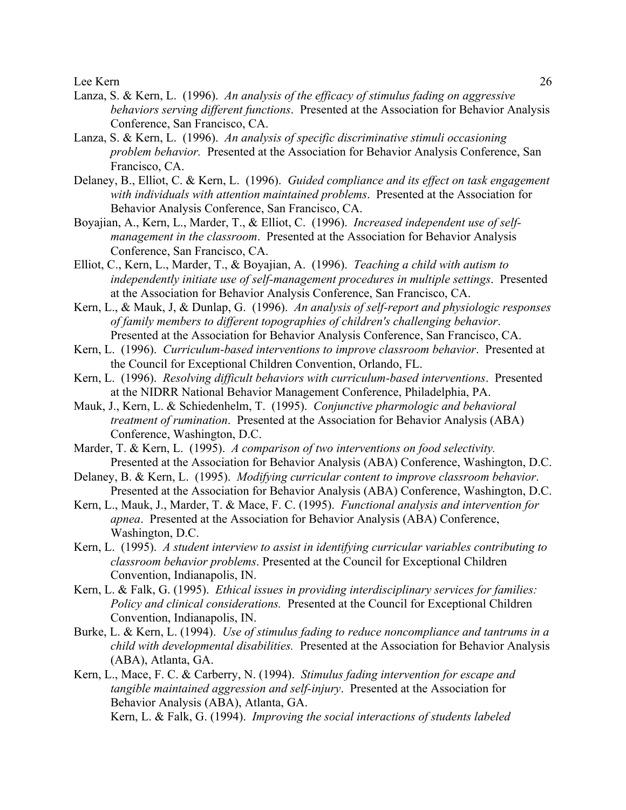- Lanza, S. & Kern, L. (1996). *An analysis of the efficacy of stimulus fading on aggressive behaviors serving different functions*. Presented at the Association for Behavior Analysis Conference, San Francisco, CA.
- Lanza, S. & Kern, L. (1996). *An analysis of specific discriminative stimuli occasioning problem behavior.* Presented at the Association for Behavior Analysis Conference, San Francisco, CA.
- Delaney, B., Elliot, C. & Kern, L. (1996). *Guided compliance and its effect on task engagement with individuals with attention maintained problems*. Presented at the Association for Behavior Analysis Conference, San Francisco, CA.
- Boyajian, A., Kern, L., Marder, T., & Elliot, C. (1996). *Increased independent use of selfmanagement in the classroom*. Presented at the Association for Behavior Analysis Conference, San Francisco, CA.
- Elliot, C., Kern, L., Marder, T., & Boyajian, A. (1996). *Teaching a child with autism to independently initiate use of self-management procedures in multiple settings*. Presented at the Association for Behavior Analysis Conference, San Francisco, CA.
- Kern, L., & Mauk, J, & Dunlap, G. (1996). *An analysis of self-report and physiologic responses of family members to different topographies of children's challenging behavior*. Presented at the Association for Behavior Analysis Conference, San Francisco, CA.
- Kern, L. (1996). *Curriculum-based interventions to improve classroom behavior*. Presented at the Council for Exceptional Children Convention, Orlando, FL.
- Kern, L. (1996). *Resolving difficult behaviors with curriculum-based interventions*. Presented at the NIDRR National Behavior Management Conference, Philadelphia, PA.
- Mauk, J., Kern, L. & Schiedenhelm, T. (1995). *Conjunctive pharmologic and behavioral treatment of rumination*. Presented at the Association for Behavior Analysis (ABA) Conference, Washington, D.C.
- Marder, T. & Kern, L. (1995). *A comparison of two interventions on food selectivity.* Presented at the Association for Behavior Analysis (ABA) Conference, Washington, D.C.
- Delaney, B. & Kern, L. (1995). *Modifying curricular content to improve classroom behavior*. Presented at the Association for Behavior Analysis (ABA) Conference, Washington, D.C.
- Kern, L., Mauk, J., Marder, T. & Mace, F. C. (1995). *Functional analysis and intervention for apnea*. Presented at the Association for Behavior Analysis (ABA) Conference, Washington, D.C.
- Kern, L. (1995). *A student interview to assist in identifying curricular variables contributing to classroom behavior problems*. Presented at the Council for Exceptional Children Convention, Indianapolis, IN.
- Kern, L. & Falk, G. (1995). *Ethical issues in providing interdisciplinary services for families: Policy and clinical considerations.* Presented at the Council for Exceptional Children Convention, Indianapolis, IN.
- Burke, L. & Kern, L. (1994). *Use of stimulus fading to reduce noncompliance and tantrums in a child with developmental disabilities.* Presented at the Association for Behavior Analysis (ABA), Atlanta, GA.
- Kern, L., Mace, F. C. & Carberry, N. (1994). *Stimulus fading intervention for escape and tangible maintained aggression and self-injury*. Presented at the Association for Behavior Analysis (ABA), Atlanta, GA. Kern, L. & Falk, G. (1994). *Improving the social interactions of students labeled*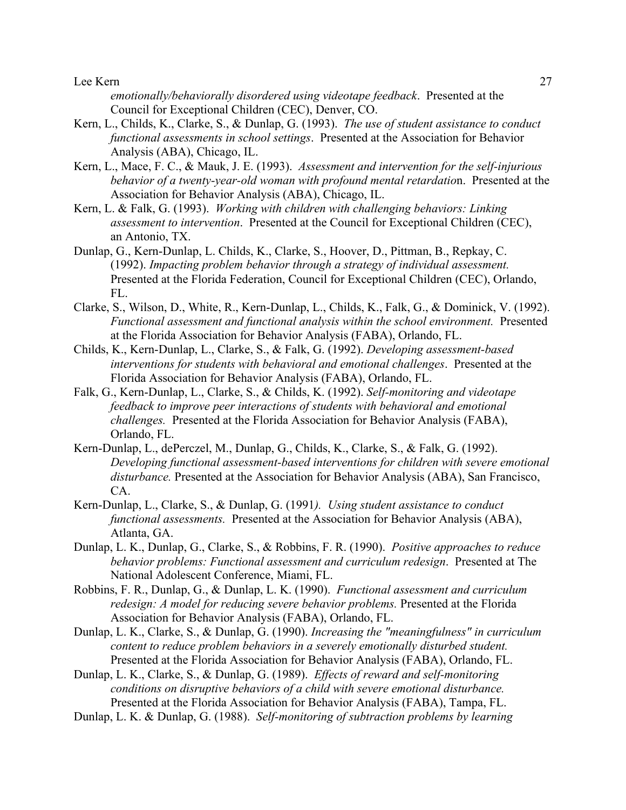*emotionally/behaviorally disordered using videotape feedback*. Presented at the Council for Exceptional Children (CEC), Denver, CO.

- Kern, L., Childs, K., Clarke, S., & Dunlap, G. (1993). *The use of student assistance to conduct functional assessments in school settings*. Presented at the Association for Behavior Analysis (ABA), Chicago, IL.
- Kern, L., Mace, F. C., & Mauk, J. E. (1993). *Assessment and intervention for the self-injurious behavior of a twenty-year-old woman with profound mental retardatio*n. Presented at the Association for Behavior Analysis (ABA), Chicago, IL.
- Kern, L. & Falk, G. (1993). *Working with children with challenging behaviors: Linking assessment to intervention*. Presented at the Council for Exceptional Children (CEC), an Antonio, TX.
- Dunlap, G., Kern-Dunlap, L. Childs, K., Clarke, S., Hoover, D., Pittman, B., Repkay, C. (1992). *Impacting problem behavior through a strategy of individual assessment.*  Presented at the Florida Federation, Council for Exceptional Children (CEC), Orlando, FL.
- Clarke, S., Wilson, D., White, R., Kern-Dunlap, L., Childs, K., Falk, G., & Dominick, V. (1992). *Functional assessment and functional analysis within the school environment.* Presented at the Florida Association for Behavior Analysis (FABA), Orlando, FL.
- Childs, K., Kern-Dunlap, L., Clarke, S., & Falk, G. (1992). *Developing assessment-based interventions for students with behavioral and emotional challenges*. Presented at the Florida Association for Behavior Analysis (FABA), Orlando, FL.
- Falk, G., Kern-Dunlap, L., Clarke, S., & Childs, K. (1992). *Self-monitoring and videotape feedback to improve peer interactions of students with behavioral and emotional challenges.* Presented at the Florida Association for Behavior Analysis (FABA), Orlando, FL.
- Kern-Dunlap, L., dePerczel, M., Dunlap, G., Childs, K., Clarke, S., & Falk, G. (1992). *Developing functional assessment-based interventions for children with severe emotional disturbance.* Presented at the Association for Behavior Analysis (ABA), San Francisco, CA.
- Kern-Dunlap, L., Clarke, S., & Dunlap, G. (1991*). Using student assistance to conduct functional assessments.* Presented at the Association for Behavior Analysis (ABA), Atlanta, GA.
- Dunlap, L. K., Dunlap, G., Clarke, S., & Robbins, F. R. (1990). *Positive approaches to reduce behavior problems: Functional assessment and curriculum redesign*. Presented at The National Adolescent Conference, Miami, FL.
- Robbins, F. R., Dunlap, G., & Dunlap, L. K. (1990). *Functional assessment and curriculum redesign: A model for reducing severe behavior problems.* Presented at the Florida Association for Behavior Analysis (FABA), Orlando, FL.
- Dunlap, L. K., Clarke, S., & Dunlap, G. (1990). *Increasing the "meaningfulness" in curriculum content to reduce problem behaviors in a severely emotionally disturbed student.*  Presented at the Florida Association for Behavior Analysis (FABA), Orlando, FL.
- Dunlap, L. K., Clarke, S., & Dunlap, G. (1989). *Effects of reward and self-monitoring conditions on disruptive behaviors of a child with severe emotional disturbance.* Presented at the Florida Association for Behavior Analysis (FABA), Tampa, FL.
- Dunlap, L. K. & Dunlap, G. (1988). *Self-monitoring of subtraction problems by learning*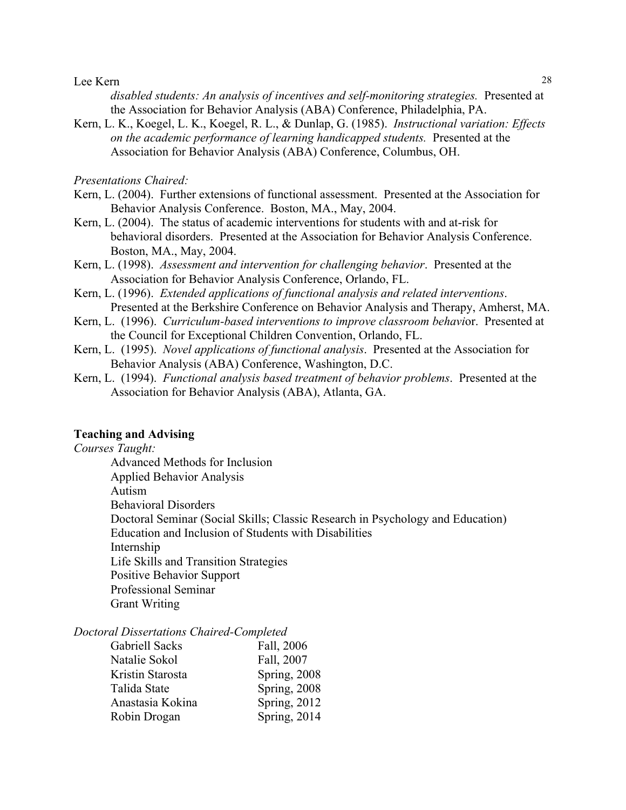*disabled students: An analysis of incentives and self-monitoring strategies.* Presented at the Association for Behavior Analysis (ABA) Conference, Philadelphia, PA.

Kern, L. K., Koegel, L. K., Koegel, R. L., & Dunlap, G. (1985). *Instructional variation: Effects on the academic performance of learning handicapped students.* Presented at the Association for Behavior Analysis (ABA) Conference, Columbus, OH.

*Presentations Chaired:*

- Kern, L. (2004). Further extensions of functional assessment. Presented at the Association for Behavior Analysis Conference. Boston, MA., May, 2004.
- Kern, L. (2004). The status of academic interventions for students with and at-risk for behavioral disorders. Presented at the Association for Behavior Analysis Conference. Boston, MA., May, 2004.
- Kern, L. (1998). *Assessment and intervention for challenging behavior*. Presented at the Association for Behavior Analysis Conference, Orlando, FL.
- Kern, L. (1996). *Extended applications of functional analysis and related interventions*. Presented at the Berkshire Conference on Behavior Analysis and Therapy, Amherst, MA.
- Kern, L. (1996). *Curriculum-based interventions to improve classroom behavi*or. Presented at the Council for Exceptional Children Convention, Orlando, FL.
- Kern, L. (1995). *Novel applications of functional analysis*. Presented at the Association for Behavior Analysis (ABA) Conference, Washington, D.C.
- Kern, L. (1994). *Functional analysis based treatment of behavior problems*. Presented at the Association for Behavior Analysis (ABA), Atlanta, GA.

## **Teaching and Advising**

*Courses Taught:*

Advanced Methods for Inclusion Applied Behavior Analysis Autism Behavioral Disorders Doctoral Seminar (Social Skills; Classic Research in Psychology and Education) Education and Inclusion of Students with Disabilities Internship Life Skills and Transition Strategies Positive Behavior Support Professional Seminar Grant Writing

#### *Doctoral Dissertations Chaired-Completed*

| <b>Gabriell Sacks</b> | Fall, 2006   |
|-----------------------|--------------|
| Natalie Sokol         | Fall, 2007   |
| Kristin Starosta      | Spring, 2008 |
| Talida State          | Spring, 2008 |
| Anastasia Kokina      | Spring, 2012 |
| Robin Drogan          | Spring, 2014 |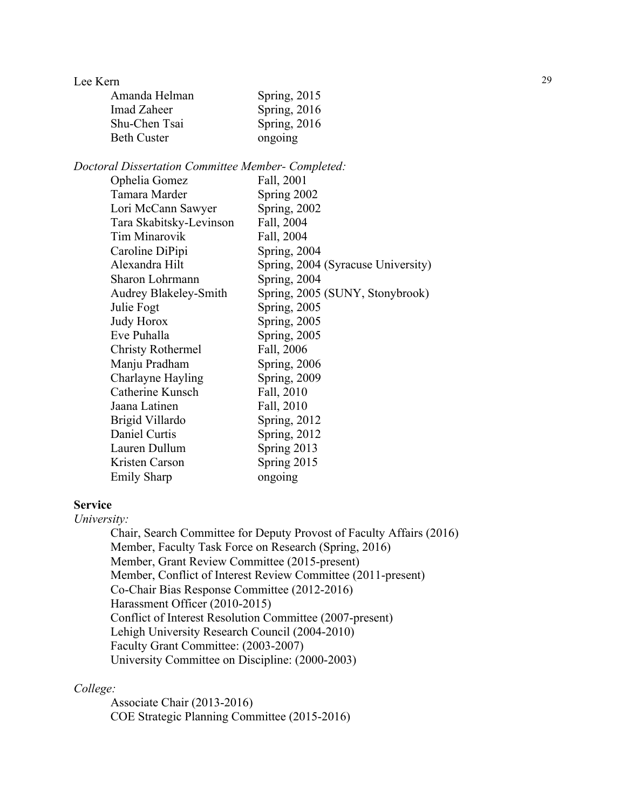| Amanda Helman | Spring, 2015 |
|---------------|--------------|
| Imad Zaheer   | Spring, 2016 |
| Shu-Chen Tsai | Spring, 2016 |
| Beth Custer   | ongoing      |

*Doctoral Dissertation Committee Member- Completed:*

| Ophelia Gomez                | Fall, 2001                         |
|------------------------------|------------------------------------|
| Tamara Marder                | Spring 2002                        |
| Lori McCann Sawyer           | <b>Spring, 2002</b>                |
| Tara Skabitsky-Levinson      | Fall, 2004                         |
| <b>Tim Minarovik</b>         | Fall, 2004                         |
| Caroline DiPipi              | Spring, $2004$                     |
| Alexandra Hilt               | Spring, 2004 (Syracuse University) |
| Sharon Lohrmann              | Spring, $2004$                     |
| <b>Audrey Blakeley-Smith</b> | Spring, 2005 (SUNY, Stonybrook)    |
| Julie Fogt                   | <b>Spring, 2005</b>                |
| <b>Judy Horox</b>            | <b>Spring</b> , 2005               |
| Eve Puhalla                  | Spring, 2005                       |
| <b>Christy Rothermel</b>     | Fall, 2006                         |
| Manju Pradham                | Spring, 2006                       |
| Charlayne Hayling            | <b>Spring</b> , 2009               |
| Catherine Kunsch             | Fall, 2010                         |
| Jaana Latinen                | Fall, 2010                         |
| Brigid Villardo              | Spring, $2012$                     |
| Daniel Curtis                | <b>Spring, 2012</b>                |
| Lauren Dullum                | Spring 2013                        |
| Kristen Carson               | Spring 2015                        |
| <b>Emily Sharp</b>           | ongoing                            |
|                              |                                    |

## **Service**

*University:*

Chair, Search Committee for Deputy Provost of Faculty Affairs (2016) Member, Faculty Task Force on Research (Spring, 2016) Member, Grant Review Committee (2015-present) Member, Conflict of Interest Review Committee (2011-present) Co-Chair Bias Response Committee (2012-2016) Harassment Officer (2010-2015) Conflict of Interest Resolution Committee (2007-present) Lehigh University Research Council (2004-2010) Faculty Grant Committee: (2003-2007) University Committee on Discipline: (2000-2003)

### *College:*

Associate Chair (2013-2016) COE Strategic Planning Committee (2015-2016)